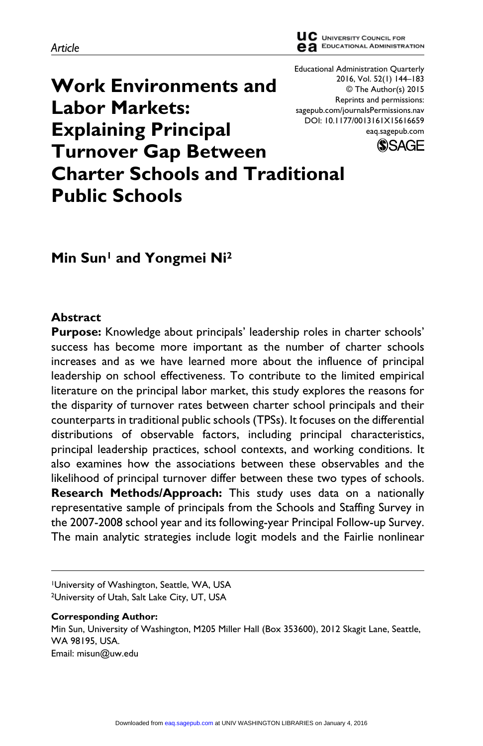**Work Environments and Labor Markets: Explaining Principal Turnover Gap Between Charter Schools and Traditional Public Schools**

# **Min Sun1 and Yongmei Ni2**

### **Abstract**

**Purpose:** Knowledge about principals' leadership roles in charter schools' success has become more important as the number of charter schools increases and as we have learned more about the influence of principal leadership on school effectiveness. To contribute to the limited empirical literature on the principal labor market, this study explores the reasons for the disparity of turnover rates between charter school principals and their counterparts in traditional public schools (TPSs). It focuses on the differential distributions of observable factors, including principal characteristics, principal leadership practices, school contexts, and working conditions. It also examines how the associations between these observables and the likelihood of principal turnover differ between these two types of schools. **Research Methods/Approach:** This study uses data on a nationally representative sample of principals from the Schools and Staffing Survey in the 2007-2008 school year and its following-year Principal Follow-up Survey. The main analytic strategies include logit models and the Fairlie nonlinear

#### **Corresponding Author:**

Min Sun, University of Washington, M205 Miller Hall (Box 353600), 2012 Skagit Lane, Seattle, WA 98195, USA. Email: [misun@uw.edu](mailto:misun@uw.edu)



Educational Administration Quarterly



<sup>1</sup>University of Washington, Seattle, WA, USA 2University of Utah, Salt Lake City, UT, USA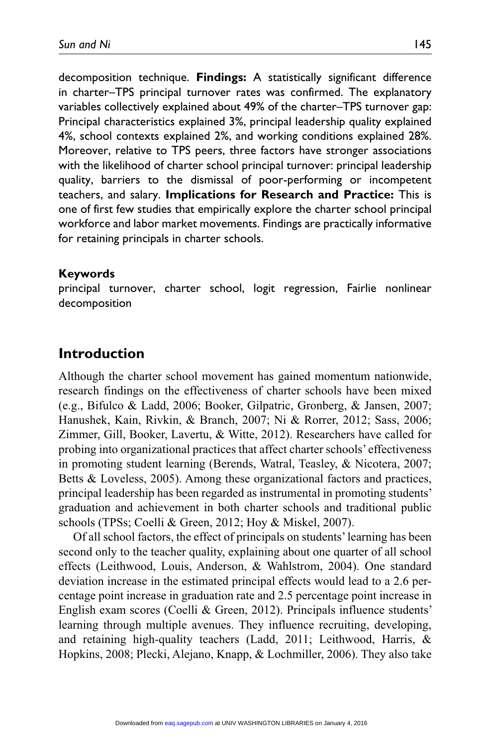decomposition technique. **Findings:** A statistically significant difference in charter–TPS principal turnover rates was confirmed. The explanatory variables collectively explained about 49% of the charter–TPS turnover gap: Principal characteristics explained 3%, principal leadership quality explained 4%, school contexts explained 2%, and working conditions explained 28%. Moreover, relative to TPS peers, three factors have stronger associations with the likelihood of charter school principal turnover: principal leadership quality, barriers to the dismissal of poor-performing or incompetent teachers, and salary. **Implications for Research and Practice:** This is one of first few studies that empirically explore the charter school principal workforce and labor market movements. Findings are practically informative for retaining principals in charter schools.

#### **Keywords**

principal turnover, charter school, logit regression, Fairlie nonlinear decomposition

# **Introduction**

Although the charter school movement has gained momentum nationwide, research findings on the effectiveness of charter schools have been mixed (e.g., Bifulco & Ladd, 2006; Booker, Gilpatric, Gronberg, & Jansen, 2007; Hanushek, Kain, Rivkin, & Branch, 2007; Ni & Rorrer, 2012; Sass, 2006; Zimmer, Gill, Booker, Lavertu, & Witte, 2012). Researchers have called for probing into organizational practices that affect charter schools' effectiveness in promoting student learning (Berends, Watral, Teasley, & Nicotera, 2007; Betts & Loveless, 2005). Among these organizational factors and practices, principal leadership has been regarded as instrumental in promoting students' graduation and achievement in both charter schools and traditional public schools (TPSs; Coelli & Green, 2012; Hoy & Miskel, 2007).

Of all school factors, the effect of principals on students' learning has been second only to the teacher quality, explaining about one quarter of all school effects (Leithwood, Louis, Anderson, & Wahlstrom, 2004). One standard deviation increase in the estimated principal effects would lead to a 2.6 percentage point increase in graduation rate and 2.5 percentage point increase in English exam scores (Coelli & Green, 2012). Principals influence students' learning through multiple avenues. They influence recruiting, developing, and retaining high-quality teachers (Ladd, 2011; Leithwood, Harris, & Hopkins, 2008; Plecki, Alejano, Knapp, & Lochmiller, 2006). They also take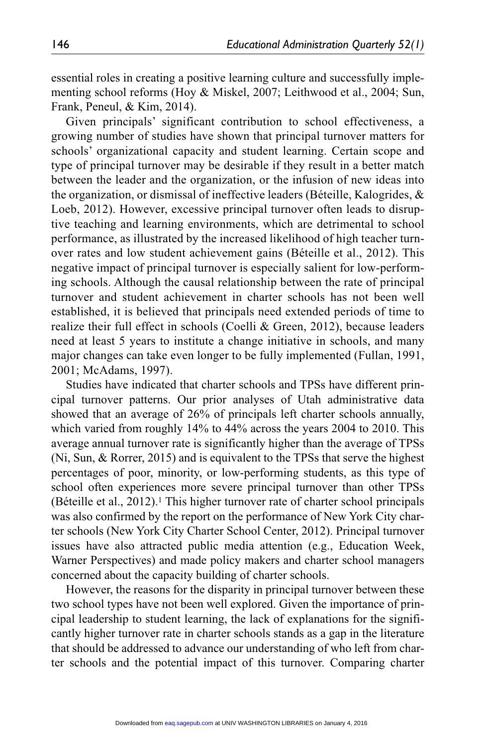essential roles in creating a positive learning culture and successfully implementing school reforms (Hoy & Miskel, 2007; Leithwood et al., 2004; Sun, Frank, Peneul, & Kim, 2014).

Given principals' significant contribution to school effectiveness, a growing number of studies have shown that principal turnover matters for schools' organizational capacity and student learning. Certain scope and type of principal turnover may be desirable if they result in a better match between the leader and the organization, or the infusion of new ideas into the organization, or dismissal of ineffective leaders (Béteille, Kalogrides, & Loeb, 2012). However, excessive principal turnover often leads to disruptive teaching and learning environments, which are detrimental to school performance, as illustrated by the increased likelihood of high teacher turnover rates and low student achievement gains (Béteille et al., 2012). This negative impact of principal turnover is especially salient for low-performing schools. Although the causal relationship between the rate of principal turnover and student achievement in charter schools has not been well established, it is believed that principals need extended periods of time to realize their full effect in schools (Coelli & Green, 2012), because leaders need at least 5 years to institute a change initiative in schools, and many major changes can take even longer to be fully implemented (Fullan, 1991, 2001; McAdams, 1997).

Studies have indicated that charter schools and TPSs have different principal turnover patterns. Our prior analyses of Utah administrative data showed that an average of 26% of principals left charter schools annually, which varied from roughly 14% to 44% across the years 2004 to 2010. This average annual turnover rate is significantly higher than the average of TPSs (Ni, Sun, & Rorrer, 2015) and is equivalent to the TPSs that serve the highest percentages of poor, minority, or low-performing students, as this type of school often experiences more severe principal turnover than other TPSs (Béteille et al.,  $2012$ ).<sup>1</sup> This higher turnover rate of charter school principals was also confirmed by the report on the performance of New York City charter schools (New York City Charter School Center, 2012). Principal turnover issues have also attracted public media attention (e.g., Education Week, Warner Perspectives) and made policy makers and charter school managers concerned about the capacity building of charter schools.

However, the reasons for the disparity in principal turnover between these two school types have not been well explored. Given the importance of principal leadership to student learning, the lack of explanations for the significantly higher turnover rate in charter schools stands as a gap in the literature that should be addressed to advance our understanding of who left from charter schools and the potential impact of this turnover. Comparing charter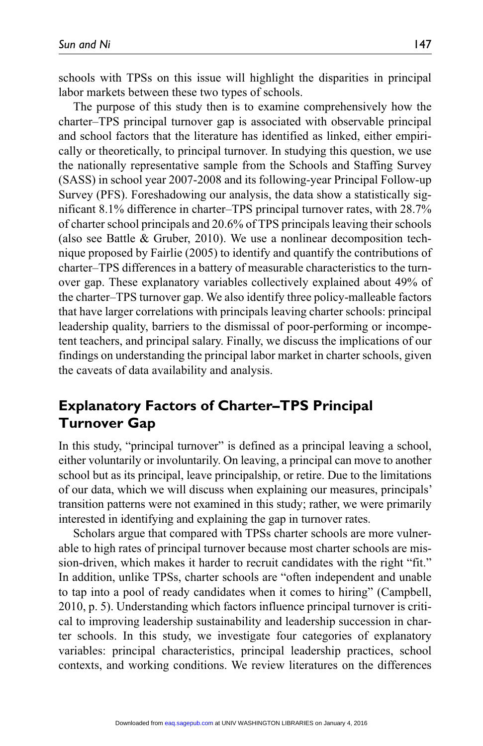schools with TPSs on this issue will highlight the disparities in principal labor markets between these two types of schools.

The purpose of this study then is to examine comprehensively how the charter–TPS principal turnover gap is associated with observable principal and school factors that the literature has identified as linked, either empirically or theoretically, to principal turnover. In studying this question, we use the nationally representative sample from the Schools and Staffing Survey (SASS) in school year 2007-2008 and its following-year Principal Follow-up Survey (PFS). Foreshadowing our analysis, the data show a statistically significant 8.1% difference in charter–TPS principal turnover rates, with 28.7% of charter school principals and 20.6% of TPS principals leaving their schools (also see Battle & Gruber, 2010). We use a nonlinear decomposition technique proposed by Fairlie (2005) to identify and quantify the contributions of charter–TPS differences in a battery of measurable characteristics to the turnover gap. These explanatory variables collectively explained about 49% of the charter–TPS turnover gap. We also identify three policy-malleable factors that have larger correlations with principals leaving charter schools: principal leadership quality, barriers to the dismissal of poor-performing or incompetent teachers, and principal salary. Finally, we discuss the implications of our findings on understanding the principal labor market in charter schools, given the caveats of data availability and analysis.

# **Explanatory Factors of Charter–TPS Principal Turnover Gap**

In this study, "principal turnover" is defined as a principal leaving a school, either voluntarily or involuntarily. On leaving, a principal can move to another school but as its principal, leave principalship, or retire. Due to the limitations of our data, which we will discuss when explaining our measures, principals' transition patterns were not examined in this study; rather, we were primarily interested in identifying and explaining the gap in turnover rates.

Scholars argue that compared with TPSs charter schools are more vulnerable to high rates of principal turnover because most charter schools are mission-driven, which makes it harder to recruit candidates with the right "fit." In addition, unlike TPSs, charter schools are "often independent and unable to tap into a pool of ready candidates when it comes to hiring" (Campbell, 2010, p. 5). Understanding which factors influence principal turnover is critical to improving leadership sustainability and leadership succession in charter schools. In this study, we investigate four categories of explanatory variables: principal characteristics, principal leadership practices, school contexts, and working conditions. We review literatures on the differences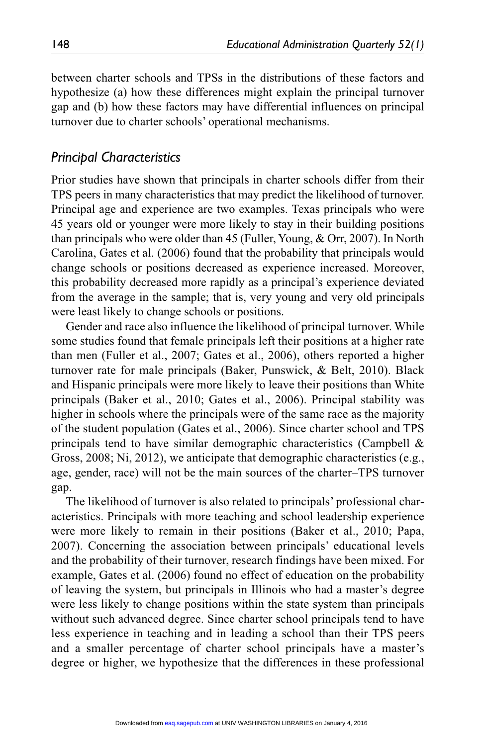between charter schools and TPSs in the distributions of these factors and hypothesize (a) how these differences might explain the principal turnover gap and (b) how these factors may have differential influences on principal turnover due to charter schools' operational mechanisms.

### *Principal Characteristics*

Prior studies have shown that principals in charter schools differ from their TPS peers in many characteristics that may predict the likelihood of turnover. Principal age and experience are two examples. Texas principals who were 45 years old or younger were more likely to stay in their building positions than principals who were older than 45 (Fuller, Young, & Orr, 2007). In North Carolina, Gates et al. (2006) found that the probability that principals would change schools or positions decreased as experience increased. Moreover, this probability decreased more rapidly as a principal's experience deviated from the average in the sample; that is, very young and very old principals were least likely to change schools or positions.

Gender and race also influence the likelihood of principal turnover. While some studies found that female principals left their positions at a higher rate than men (Fuller et al., 2007; Gates et al., 2006), others reported a higher turnover rate for male principals (Baker, Punswick, & Belt, 2010). Black and Hispanic principals were more likely to leave their positions than White principals (Baker et al., 2010; Gates et al., 2006). Principal stability was higher in schools where the principals were of the same race as the majority of the student population (Gates et al., 2006). Since charter school and TPS principals tend to have similar demographic characteristics (Campbell & Gross, 2008; Ni, 2012), we anticipate that demographic characteristics (e.g., age, gender, race) will not be the main sources of the charter–TPS turnover gap.

The likelihood of turnover is also related to principals' professional characteristics. Principals with more teaching and school leadership experience were more likely to remain in their positions (Baker et al., 2010; Papa, 2007). Concerning the association between principals' educational levels and the probability of their turnover, research findings have been mixed. For example, Gates et al. (2006) found no effect of education on the probability of leaving the system, but principals in Illinois who had a master's degree were less likely to change positions within the state system than principals without such advanced degree. Since charter school principals tend to have less experience in teaching and in leading a school than their TPS peers and a smaller percentage of charter school principals have a master's degree or higher, we hypothesize that the differences in these professional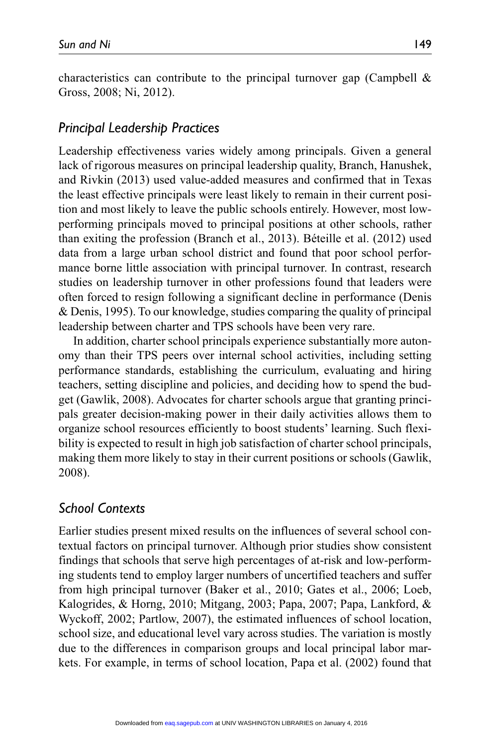characteristics can contribute to the principal turnover gap (Campbell  $\&$ Gross, 2008; Ni, 2012).

### *Principal Leadership Practices*

Leadership effectiveness varies widely among principals. Given a general lack of rigorous measures on principal leadership quality, Branch, Hanushek, and Rivkin (2013) used value-added measures and confirmed that in Texas the least effective principals were least likely to remain in their current position and most likely to leave the public schools entirely. However, most lowperforming principals moved to principal positions at other schools, rather than exiting the profession (Branch et al., 2013). Béteille et al. (2012) used data from a large urban school district and found that poor school performance borne little association with principal turnover. In contrast, research studies on leadership turnover in other professions found that leaders were often forced to resign following a significant decline in performance (Denis & Denis, 1995). To our knowledge, studies comparing the quality of principal leadership between charter and TPS schools have been very rare.

In addition, charter school principals experience substantially more autonomy than their TPS peers over internal school activities, including setting performance standards, establishing the curriculum, evaluating and hiring teachers, setting discipline and policies, and deciding how to spend the budget (Gawlik, 2008). Advocates for charter schools argue that granting principals greater decision-making power in their daily activities allows them to organize school resources efficiently to boost students' learning. Such flexibility is expected to result in high job satisfaction of charter school principals, making them more likely to stay in their current positions or schools (Gawlik, 2008).

# *School Contexts*

Earlier studies present mixed results on the influences of several school contextual factors on principal turnover. Although prior studies show consistent findings that schools that serve high percentages of at-risk and low-performing students tend to employ larger numbers of uncertified teachers and suffer from high principal turnover (Baker et al., 2010; Gates et al., 2006; Loeb, Kalogrides, & Horng, 2010; Mitgang, 2003; Papa, 2007; Papa, Lankford, & Wyckoff, 2002; Partlow, 2007), the estimated influences of school location, school size, and educational level vary across studies. The variation is mostly due to the differences in comparison groups and local principal labor markets. For example, in terms of school location, Papa et al. (2002) found that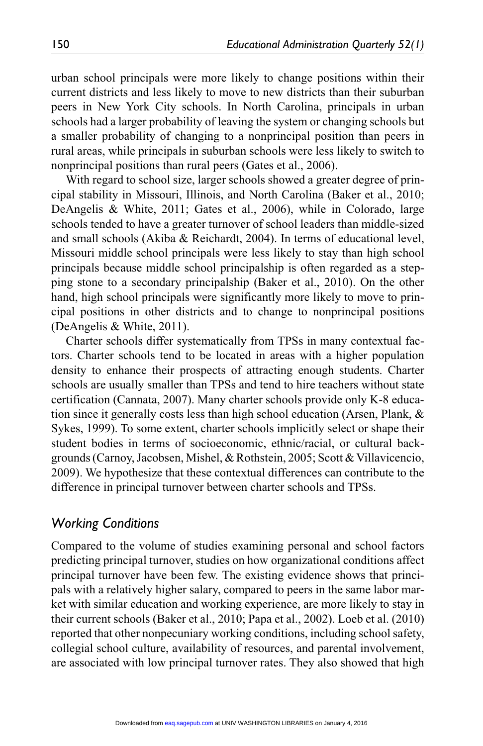urban school principals were more likely to change positions within their current districts and less likely to move to new districts than their suburban peers in New York City schools. In North Carolina, principals in urban schools had a larger probability of leaving the system or changing schools but a smaller probability of changing to a nonprincipal position than peers in rural areas, while principals in suburban schools were less likely to switch to nonprincipal positions than rural peers (Gates et al., 2006).

With regard to school size, larger schools showed a greater degree of principal stability in Missouri, Illinois, and North Carolina (Baker et al., 2010; DeAngelis & White, 2011; Gates et al., 2006), while in Colorado, large schools tended to have a greater turnover of school leaders than middle-sized and small schools (Akiba & Reichardt, 2004). In terms of educational level, Missouri middle school principals were less likely to stay than high school principals because middle school principalship is often regarded as a stepping stone to a secondary principalship (Baker et al., 2010). On the other hand, high school principals were significantly more likely to move to principal positions in other districts and to change to nonprincipal positions (DeAngelis & White, 2011).

Charter schools differ systematically from TPSs in many contextual factors. Charter schools tend to be located in areas with a higher population density to enhance their prospects of attracting enough students. Charter schools are usually smaller than TPSs and tend to hire teachers without state certification (Cannata, 2007). Many charter schools provide only K-8 education since it generally costs less than high school education (Arsen, Plank, & Sykes, 1999). To some extent, charter schools implicitly select or shape their student bodies in terms of socioeconomic, ethnic/racial, or cultural backgrounds (Carnoy, Jacobsen, Mishel, & Rothstein, 2005; Scott & Villavicencio, 2009). We hypothesize that these contextual differences can contribute to the difference in principal turnover between charter schools and TPSs.

### *Working Conditions*

Compared to the volume of studies examining personal and school factors predicting principal turnover, studies on how organizational conditions affect principal turnover have been few. The existing evidence shows that principals with a relatively higher salary, compared to peers in the same labor market with similar education and working experience, are more likely to stay in their current schools (Baker et al., 2010; Papa et al., 2002). Loeb et al. (2010) reported that other nonpecuniary working conditions, including school safety, collegial school culture, availability of resources, and parental involvement, are associated with low principal turnover rates. They also showed that high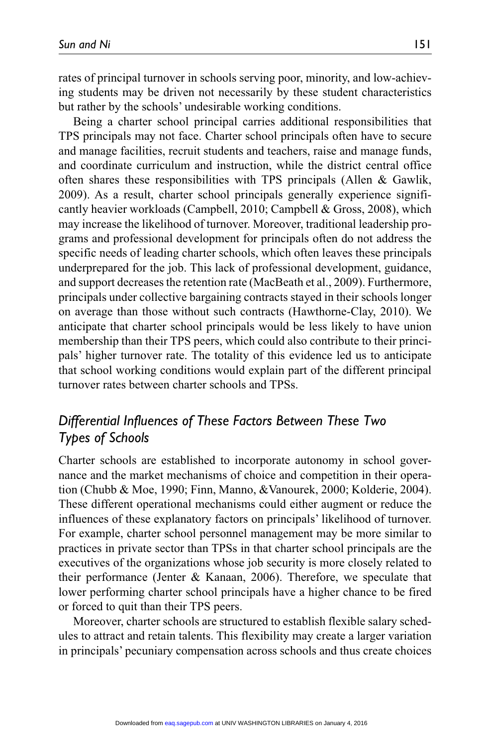rates of principal turnover in schools serving poor, minority, and low-achieving students may be driven not necessarily by these student characteristics but rather by the schools' undesirable working conditions.

Being a charter school principal carries additional responsibilities that TPS principals may not face. Charter school principals often have to secure and manage facilities, recruit students and teachers, raise and manage funds, and coordinate curriculum and instruction, while the district central office often shares these responsibilities with TPS principals (Allen & Gawlik, 2009). As a result, charter school principals generally experience significantly heavier workloads (Campbell, 2010; Campbell & Gross, 2008), which may increase the likelihood of turnover. Moreover, traditional leadership programs and professional development for principals often do not address the specific needs of leading charter schools, which often leaves these principals underprepared for the job. This lack of professional development, guidance, and support decreases the retention rate (MacBeath et al., 2009). Furthermore, principals under collective bargaining contracts stayed in their schools longer on average than those without such contracts (Hawthorne-Clay, 2010). We anticipate that charter school principals would be less likely to have union membership than their TPS peers, which could also contribute to their principals' higher turnover rate. The totality of this evidence led us to anticipate that school working conditions would explain part of the different principal turnover rates between charter schools and TPSs.

# *Differential Influences of These Factors Between These Two Types of Schools*

Charter schools are established to incorporate autonomy in school governance and the market mechanisms of choice and competition in their operation (Chubb & Moe, 1990; Finn, Manno, &Vanourek, 2000; Kolderie, 2004). These different operational mechanisms could either augment or reduce the influences of these explanatory factors on principals' likelihood of turnover. For example, charter school personnel management may be more similar to practices in private sector than TPSs in that charter school principals are the executives of the organizations whose job security is more closely related to their performance (Jenter & Kanaan, 2006). Therefore, we speculate that lower performing charter school principals have a higher chance to be fired or forced to quit than their TPS peers.

Moreover, charter schools are structured to establish flexible salary schedules to attract and retain talents. This flexibility may create a larger variation in principals' pecuniary compensation across schools and thus create choices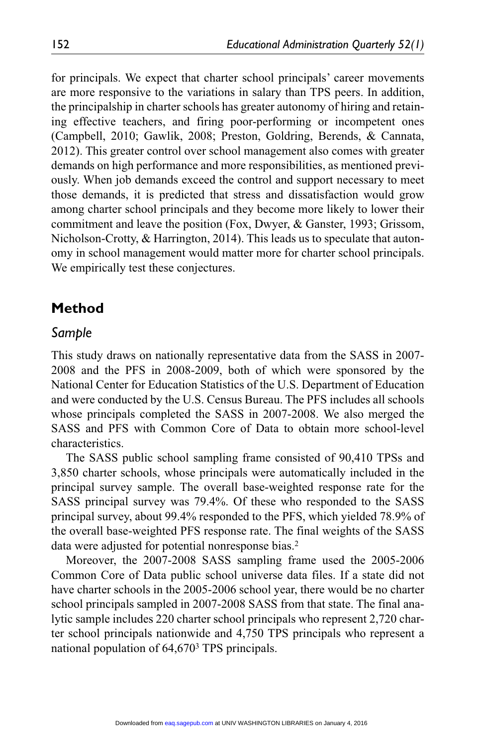for principals. We expect that charter school principals' career movements are more responsive to the variations in salary than TPS peers. In addition, the principalship in charter schools has greater autonomy of hiring and retaining effective teachers, and firing poor-performing or incompetent ones (Campbell, 2010; Gawlik, 2008; Preston, Goldring, Berends, & Cannata, 2012). This greater control over school management also comes with greater demands on high performance and more responsibilities, as mentioned previously. When job demands exceed the control and support necessary to meet those demands, it is predicted that stress and dissatisfaction would grow among charter school principals and they become more likely to lower their commitment and leave the position (Fox, Dwyer, & Ganster, 1993; Grissom, Nicholson-Crotty, & Harrington, 2014). This leads us to speculate that autonomy in school management would matter more for charter school principals. We empirically test these conjectures.

### **Method**

#### *Sample*

This study draws on nationally representative data from the SASS in 2007- 2008 and the PFS in 2008-2009, both of which were sponsored by the National Center for Education Statistics of the U.S. Department of Education and were conducted by the U.S. Census Bureau. The PFS includes all schools whose principals completed the SASS in 2007-2008. We also merged the SASS and PFS with Common Core of Data to obtain more school-level characteristics.

The SASS public school sampling frame consisted of 90,410 TPSs and 3,850 charter schools, whose principals were automatically included in the principal survey sample. The overall base-weighted response rate for the SASS principal survey was 79.4%. Of these who responded to the SASS principal survey, about 99.4% responded to the PFS, which yielded 78.9% of the overall base-weighted PFS response rate. The final weights of the SASS data were adjusted for potential nonresponse bias.<sup>2</sup>

Moreover, the 2007-2008 SASS sampling frame used the 2005-2006 Common Core of Data public school universe data files. If a state did not have charter schools in the 2005-2006 school year, there would be no charter school principals sampled in 2007-2008 SASS from that state. The final analytic sample includes 220 charter school principals who represent 2,720 charter school principals nationwide and 4,750 TPS principals who represent a national population of 64,6703 TPS principals.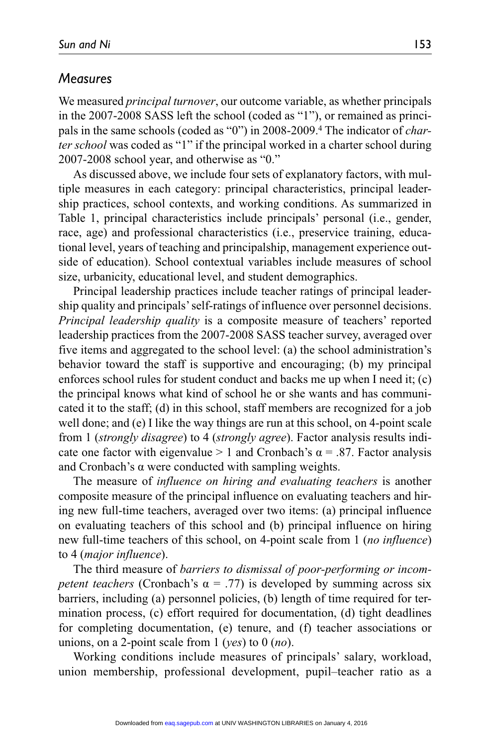### *Measures*

We measured *principal turnover*, our outcome variable, as whether principals in the 2007-2008 SASS left the school (coded as "1"), or remained as principals in the same schools (coded as "0") in 2008-2009.4 The indicator of *charter school* was coded as "1" if the principal worked in a charter school during 2007-2008 school year, and otherwise as "0."

As discussed above, we include four sets of explanatory factors, with multiple measures in each category: principal characteristics, principal leadership practices, school contexts, and working conditions. As summarized in Table 1, principal characteristics include principals' personal (i.e., gender, race, age) and professional characteristics (i.e., preservice training, educational level, years of teaching and principalship, management experience outside of education). School contextual variables include measures of school size, urbanicity, educational level, and student demographics.

Principal leadership practices include teacher ratings of principal leadership quality and principals' self-ratings of influence over personnel decisions. *Principal leadership quality* is a composite measure of teachers' reported leadership practices from the 2007-2008 SASS teacher survey, averaged over five items and aggregated to the school level: (a) the school administration's behavior toward the staff is supportive and encouraging; (b) my principal enforces school rules for student conduct and backs me up when I need it; (c) the principal knows what kind of school he or she wants and has communicated it to the staff; (d) in this school, staff members are recognized for a job well done; and (e) I like the way things are run at this school, on 4-point scale from 1 (*strongly disagree*) to 4 (*strongly agree*). Factor analysis results indicate one factor with eigenvalue  $> 1$  and Cronbach's  $\alpha = .87$ . Factor analysis and Cronbach's α were conducted with sampling weights.

The measure of *influence on hiring and evaluating teachers* is another composite measure of the principal influence on evaluating teachers and hiring new full-time teachers, averaged over two items: (a) principal influence on evaluating teachers of this school and (b) principal influence on hiring new full-time teachers of this school, on 4-point scale from 1 (*no influence*) to 4 (*major influence*).

The third measure of *barriers to dismissal of poor-performing or incompetent teachers* (Cronbach's  $\alpha = .77$ ) is developed by summing across six barriers, including (a) personnel policies, (b) length of time required for termination process, (c) effort required for documentation, (d) tight deadlines for completing documentation, (e) tenure, and (f) teacher associations or unions, on a 2-point scale from 1 (*yes*) to 0 (*no*).

Working conditions include measures of principals' salary, workload, union membership, professional development, pupil–teacher ratio as a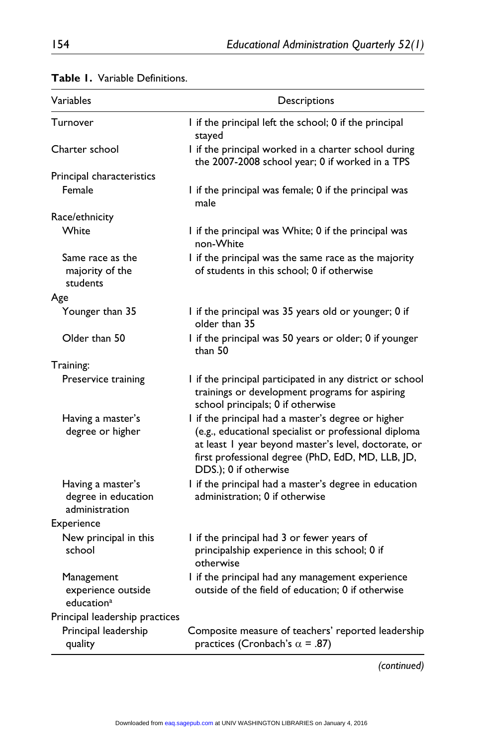| Variables                                                  | Descriptions                                                                                                                                                                                                                                      |
|------------------------------------------------------------|---------------------------------------------------------------------------------------------------------------------------------------------------------------------------------------------------------------------------------------------------|
| Turnover                                                   | I if the principal left the school; 0 if the principal<br>stayed                                                                                                                                                                                  |
| Charter school                                             | I if the principal worked in a charter school during<br>the 2007-2008 school year; 0 if worked in a TPS                                                                                                                                           |
| Principal characteristics                                  |                                                                                                                                                                                                                                                   |
| Female                                                     | I if the principal was female; 0 if the principal was<br>male                                                                                                                                                                                     |
| Race/ethnicity                                             |                                                                                                                                                                                                                                                   |
| White                                                      | I if the principal was White; 0 if the principal was<br>non-White                                                                                                                                                                                 |
| Same race as the<br>majority of the<br>students            | I if the principal was the same race as the majority<br>of students in this school: 0 if otherwise                                                                                                                                                |
| Age                                                        |                                                                                                                                                                                                                                                   |
| Younger than 35                                            | I if the principal was 35 years old or younger; 0 if<br>older than 35                                                                                                                                                                             |
| Older than 50                                              | I if the principal was 50 years or older; 0 if younger<br>than 50                                                                                                                                                                                 |
| Training:                                                  |                                                                                                                                                                                                                                                   |
| Preservice training                                        | I if the principal participated in any district or school<br>trainings or development programs for aspiring<br>school principals; 0 if otherwise                                                                                                  |
| Having a master's<br>degree or higher                      | I if the principal had a master's degree or higher<br>(e.g., educational specialist or professional diploma<br>at least I year beyond master's level, doctorate, or<br>first professional degree (PhD, EdD, MD, LLB, JD,<br>DDS.); 0 if otherwise |
| Having a master's<br>degree in education<br>administration | I if the principal had a master's degree in education<br>administration: 0 if otherwise                                                                                                                                                           |
| Experience                                                 |                                                                                                                                                                                                                                                   |
| New principal in this<br>school                            | I if the principal had 3 or fewer years of<br>principalship experience in this school; 0 if<br>otherwise                                                                                                                                          |
| Management<br>experience outside<br>education <sup>a</sup> | I if the principal had any management experience<br>outside of the field of education; 0 if otherwise                                                                                                                                             |
| Principal leadership practices                             |                                                                                                                                                                                                                                                   |
| Principal leadership<br>quality                            | Composite measure of teachers' reported leadership<br>practices (Cronbach's $\alpha$ = .87)                                                                                                                                                       |

### **Table 1.** Variable Definitions.

*(continued)*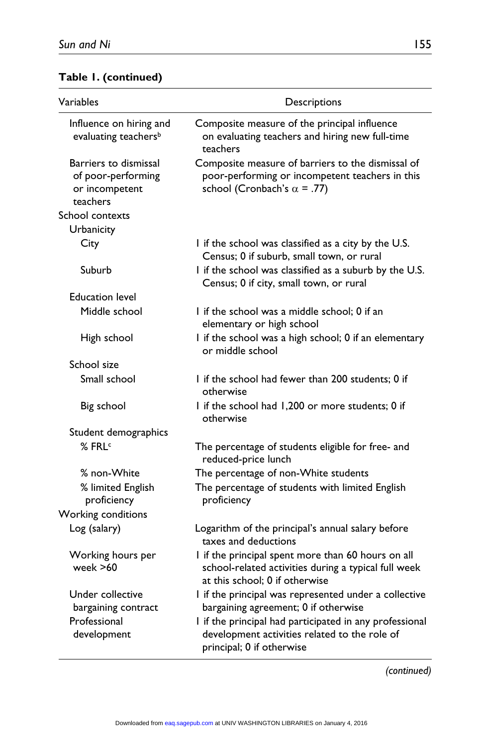# **Table 1. (continued)**

| Variables                                                                 | Descriptions                                                                                                                                 |
|---------------------------------------------------------------------------|----------------------------------------------------------------------------------------------------------------------------------------------|
| Influence on hiring and<br>evaluating teachers <sup>b</sup>               | Composite measure of the principal influence<br>on evaluating teachers and hiring new full-time<br>teachers                                  |
| Barriers to dismissal<br>of poor-performing<br>or incompetent<br>teachers | Composite measure of barriers to the dismissal of<br>poor-performing or incompetent teachers in this<br>school (Cronbach's $\alpha$ = .77)   |
| School contexts                                                           |                                                                                                                                              |
| Urbanicity                                                                |                                                                                                                                              |
| City                                                                      | I if the school was classified as a city by the U.S.<br>Census; 0 if suburb, small town, or rural                                            |
| Suburb                                                                    | I if the school was classified as a suburb by the U.S.<br>Census; 0 if city, small town, or rural                                            |
| <b>Education level</b>                                                    |                                                                                                                                              |
| Middle school                                                             | I if the school was a middle school; 0 if an<br>elementary or high school                                                                    |
| High school                                                               | I if the school was a high school; 0 if an elementary<br>or middle school                                                                    |
| School size                                                               |                                                                                                                                              |
| Small school                                                              | I if the school had fewer than 200 students; 0 if<br>otherwise                                                                               |
| Big school                                                                | I if the school had 1,200 or more students; 0 if<br>otherwise                                                                                |
| Student demographics                                                      |                                                                                                                                              |
| % FRL <sup>c</sup>                                                        | The percentage of students eligible for free- and<br>reduced-price lunch                                                                     |
| % non-White                                                               | The percentage of non-White students                                                                                                         |
| % limited English<br>proficiency                                          | The percentage of students with limited English<br>proficiency                                                                               |
| Working conditions                                                        |                                                                                                                                              |
| Log (salary)                                                              | Logarithm of the principal's annual salary before<br>taxes and deductions                                                                    |
| Working hours per<br>week $>60$                                           | I if the principal spent more than 60 hours on all<br>school-related activities during a typical full week<br>at this school; 0 if otherwise |
| Under collective                                                          | I if the principal was represented under a collective                                                                                        |
| bargaining contract                                                       | bargaining agreement; 0 if otherwise                                                                                                         |
| Professional<br>development                                               | I if the principal had participated in any professional<br>development activities related to the role of<br>principal; 0 if otherwise        |

*(continued)*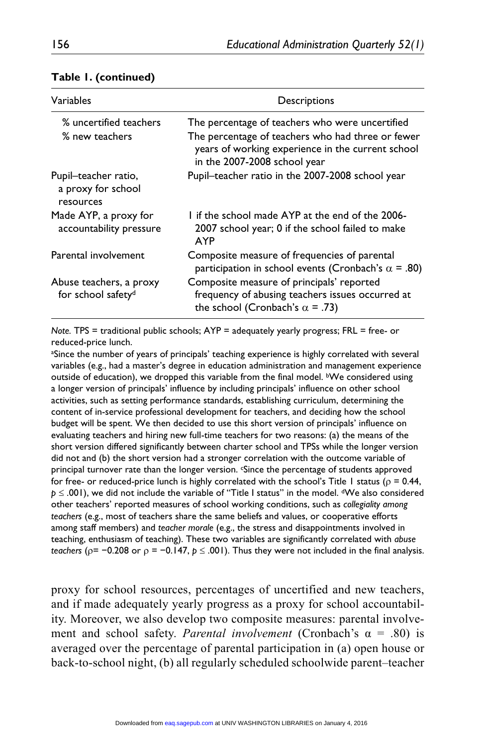| Variables                                                 | Descriptions                                                                                                                                                                              |
|-----------------------------------------------------------|-------------------------------------------------------------------------------------------------------------------------------------------------------------------------------------------|
| % uncertified teachers<br>% new teachers                  | The percentage of teachers who were uncertified<br>The percentage of teachers who had three or fewer<br>years of working experience in the current school<br>in the 2007-2008 school year |
| Pupil-teacher ratio,<br>a proxy for school<br>resources   | Pupil-teacher ratio in the 2007-2008 school year                                                                                                                                          |
| Made AYP, a proxy for<br>accountability pressure          | I if the school made AYP at the end of the 2006-<br>2007 school year; 0 if the school failed to make<br><b>AYP</b>                                                                        |
| Parental involvement                                      | Composite measure of frequencies of parental<br>participation in school events (Cronbach's $\alpha$ = .80)                                                                                |
| Abuse teachers, a proxy<br>for school safety <sup>d</sup> | Composite measure of principals' reported<br>frequency of abusing teachers issues occurred at<br>the school (Cronbach's $\alpha$ = .73)                                                   |

#### **Table 1. (continued)**

*Note.* TPS = traditional public schools; AYP = adequately yearly progress; FRL = free- or reduced-price lunch.

a Since the number of years of principals' teaching experience is highly correlated with several variables (e.g., had a master's degree in education administration and management experience outside of education), we dropped this variable from the final model. <sup>b</sup>We considered using a longer version of principals' influence by including principals' influence on other school activities, such as setting performance standards, establishing curriculum, determining the content of in-service professional development for teachers, and deciding how the school budget will be spent. We then decided to use this short version of principals' influence on evaluating teachers and hiring new full-time teachers for two reasons: (a) the means of the short version differed significantly between charter school and TPSs while the longer version did not and (b) the short version had a stronger correlation with the outcome variable of principal turnover rate than the longer version. Since the percentage of students approved for free- or reduced-price lunch is highly correlated with the school's Title 1 status ( $\rho = 0.44$ , *p* ≤ .001), we did not include the variable of "Title I status" in the model. <sup>d</sup>We also considered other teachers' reported measures of school working conditions, such as *collegiality among teachers* (e.g., most of teachers share the same beliefs and values, or cooperative efforts among staff members) and *teacher morale* (e.g., the stress and disappointments involved in teaching, enthusiasm of teaching). These two variables are significantly correlated with *abuse teachers* ( $p = -0.208$  or  $p = -0.147$ ,  $p \le .001$ ). Thus they were not included in the final analysis.

proxy for school resources, percentages of uncertified and new teachers, and if made adequately yearly progress as a proxy for school accountability. Moreover, we also develop two composite measures: parental involvement and school safety. *Parental involvement* (Cronbach's  $\alpha = .80$ ) is averaged over the percentage of parental participation in (a) open house or back-to-school night, (b) all regularly scheduled schoolwide parent–teacher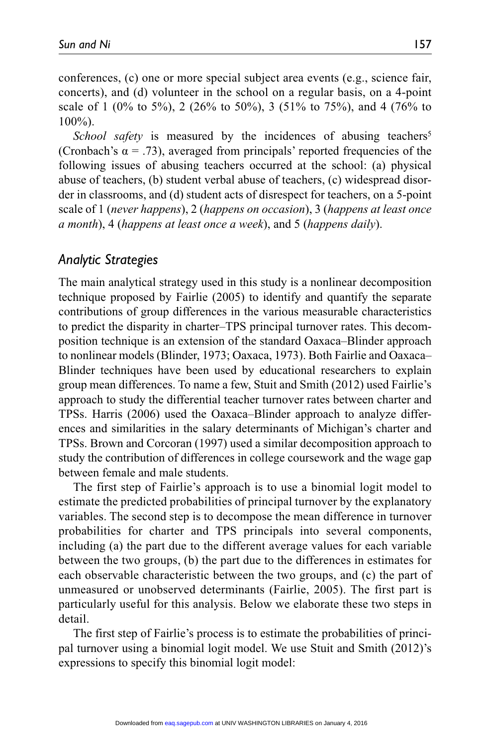conferences, (c) one or more special subject area events (e.g., science fair, concerts), and (d) volunteer in the school on a regular basis, on a 4-point scale of 1 (0% to 5%), 2 (26% to 50%), 3 (51% to 75%), and 4 (76% to 100%).

*School safety* is measured by the incidences of abusing teachers<sup>5</sup> (Cronbach's  $\alpha$  = .73), averaged from principals' reported frequencies of the following issues of abusing teachers occurred at the school: (a) physical abuse of teachers, (b) student verbal abuse of teachers, (c) widespread disorder in classrooms, and (d) student acts of disrespect for teachers, on a 5-point scale of 1 (*never happens*), 2 (*happens on occasion*), 3 (*happens at least once a month*), 4 (*happens at least once a week*), and 5 (*happens daily*).

### *Analytic Strategies*

The main analytical strategy used in this study is a nonlinear decomposition technique proposed by Fairlie (2005) to identify and quantify the separate contributions of group differences in the various measurable characteristics to predict the disparity in charter–TPS principal turnover rates. This decomposition technique is an extension of the standard Oaxaca–Blinder approach to nonlinear models (Blinder, 1973; Oaxaca, 1973). Both Fairlie and Oaxaca– Blinder techniques have been used by educational researchers to explain group mean differences. To name a few, Stuit and Smith (2012) used Fairlie's approach to study the differential teacher turnover rates between charter and TPSs. Harris (2006) used the Oaxaca–Blinder approach to analyze differences and similarities in the salary determinants of Michigan's charter and TPSs. Brown and Corcoran (1997) used a similar decomposition approach to study the contribution of differences in college coursework and the wage gap between female and male students.

The first step of Fairlie's approach is to use a binomial logit model to estimate the predicted probabilities of principal turnover by the explanatory variables. The second step is to decompose the mean difference in turnover probabilities for charter and TPS principals into several components, including (a) the part due to the different average values for each variable between the two groups, (b) the part due to the differences in estimates for each observable characteristic between the two groups, and (c) the part of unmeasured or unobserved determinants (Fairlie, 2005). The first part is particularly useful for this analysis. Below we elaborate these two steps in detail.

The first step of Fairlie's process is to estimate the probabilities of principal turnover using a binomial logit model. We use Stuit and Smith (2012)'s expressions to specify this binomial logit model: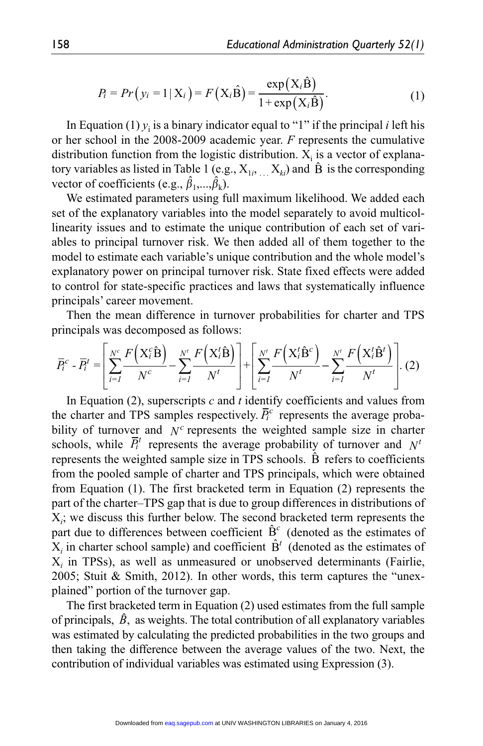$$
P_i = Pr(y_i = 1 | \mathbf{X}_i) = F(\mathbf{X}_i \hat{\mathbf{B}}) = \frac{\exp(\mathbf{X}_i \hat{\mathbf{B}})}{1 + \exp(\mathbf{X}_i \hat{\mathbf{B}})}.
$$
(1)

In Equation (1)  $y_i$  is a binary indicator equal to "1" if the principal *i* left his or her school in the 2008-2009 academic year. *F* represents the cumulative distribution function from the logistic distribution.  $X_i$  is a vector of explanatory variables as listed in Table 1 (e.g.,  $X_{1i}$ ,  $X_{ki}$ ) and  $\hat{B}$  is the corresponding vector of coefficients (e.g.,  $\hat{\beta}_1, ..., \hat{\beta}_k$ ).

We estimated parameters using full maximum likelihood. We added each set of the explanatory variables into the model separately to avoid multicollinearity issues and to estimate the unique contribution of each set of variables to principal turnover risk. We then added all of them together to the model to estimate each variable's unique contribution and the whole model's explanatory power on principal turnover risk. State fixed effects were added to control for state-specific practices and laws that systematically influence principals' career movement.

Then the mean difference in turnover probabilities for charter and TPS principals was decomposed as follows:

$$
\overline{P}_{t}^{c} - \overline{P}_{t}^{t} = \left[ \sum_{i=1}^{N^{c}} \frac{F\left(X_{i}^{c}\hat{\mathbf{B}}\right)}{N^{c}} - \sum_{i=1}^{N^{t}} \frac{F\left(X_{i}^{t}\hat{\mathbf{B}}\right)}{N^{t}} \right] + \left[ \sum_{i=1}^{N^{t}} \frac{F\left(X_{i}^{t}\hat{\mathbf{B}}^{c}\right)}{N^{t}} - \sum_{i=1}^{N^{t}} \frac{F\left(X_{i}^{t}\hat{\mathbf{B}}^{t}\right)}{N^{t}} \right].
$$
 (2)

In Equation (2), superscripts *c* and *t* identify coefficients and values from the charter and TPS samples respectively.  $\overline{P}_i^c$  represents the average probability of turnover and  $N^c$  represents the weighted sample size in charter schools, while  $\overline{P}_i^t$  represents the average probability of turnover and  $N^t$ represents the weighted sample size in TPS schools.  $\hat{B}$  refers to coefficients from the pooled sample of charter and TPS principals, which were obtained from Equation (1). The first bracketed term in Equation (2) represents the part of the charter–TPS gap that is due to group differences in distributions of X*i* ; we discuss this further below. The second bracketed term represents the part due to differences between coefficient  $\hat{B}^c$  (denoted as the estimates of  $X_i$  in charter school sample) and coefficient  $\hat{B}^t$  (denoted as the estimates of X*i* in TPSs), as well as unmeasured or unobserved determinants (Fairlie, 2005; Stuit & Smith, 2012). In other words, this term captures the "unexplained" portion of the turnover gap.

The first bracketed term in Equation (2) used estimates from the full sample of principals,  $\hat{B}$ , as weights. The total contribution of all explanatory variables was estimated by calculating the predicted probabilities in the two groups and then taking the difference between the average values of the two. Next, the contribution of individual variables was estimated using Expression (3).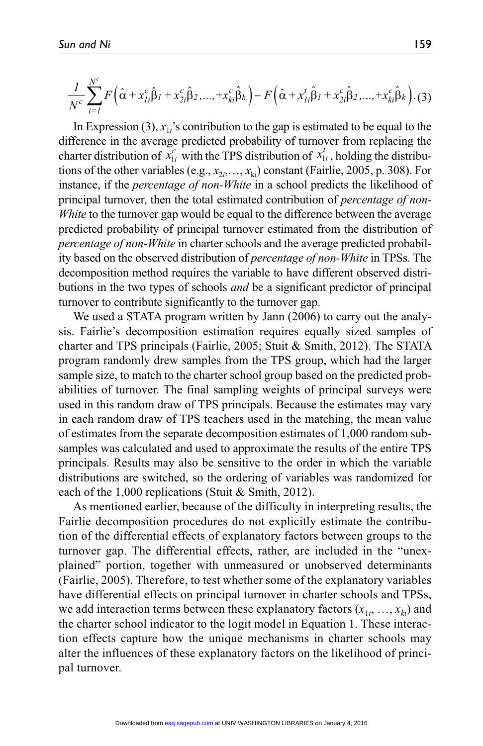$$
\frac{1}{N^c}\sum_{i=1}^{N^c} F\Big(\hat{\alpha} + x_{Ii}^c \hat{\beta}_I + x_{2i}^c \hat{\beta}_2, ..., + x_{ki}^c \hat{\beta}_k\Big) - F\Big(\hat{\alpha} + x_{Ii}^t \hat{\beta}_I + x_{2i}^c \hat{\beta}_2, ..., + x_{ki}^c \hat{\beta}_k\Big). \tag{3}
$$

In Expression (3),  $x_{1i}$ 's contribution to the gap is estimated to be equal to the difference in the average predicted probability of turnover from replacing the charter distribution of  $x_{1i}^c$  with the TPS distribution of  $x_{1i}^t$ , holding the distributions of the other variables (e.g.,  $x_{2i},...,x_{ki}$ ) constant (Fairlie, 2005, p. 308). For instance, if the *percentage of non-White* in a school predicts the likelihood of principal turnover, then the total estimated contribution of *percentage of non-White* to the turnover gap would be equal to the difference between the average predicted probability of principal turnover estimated from the distribution of *percentage of non-White* in charter schools and the average predicted probability based on the observed distribution of *percentage of non-White* in TPSs. The decomposition method requires the variable to have different observed distributions in the two types of schools *and* be a significant predictor of principal turnover to contribute significantly to the turnover gap.

We used a STATA program written by Jann (2006) to carry out the analysis. Fairlie's decomposition estimation requires equally sized samples of charter and TPS principals (Fairlie, 2005; Stuit & Smith, 2012). The STATA program randomly drew samples from the TPS group, which had the larger sample size, to match to the charter school group based on the predicted probabilities of turnover. The final sampling weights of principal surveys were used in this random draw of TPS principals. Because the estimates may vary in each random draw of TPS teachers used in the matching, the mean value of estimates from the separate decomposition estimates of 1,000 random subsamples was calculated and used to approximate the results of the entire TPS principals. Results may also be sensitive to the order in which the variable distributions are switched, so the ordering of variables was randomized for each of the 1,000 replications (Stuit & Smith, 2012).

As mentioned earlier, because of the difficulty in interpreting results, the Fairlie decomposition procedures do not explicitly estimate the contribution of the differential effects of explanatory factors between groups to the turnover gap. The differential effects, rather, are included in the "unexplained" portion, together with unmeasured or unobserved determinants (Fairlie, 2005). Therefore, to test whether some of the explanatory variables have differential effects on principal turnover in charter schools and TPSs, we add interaction terms between these explanatory factors  $(x_{1i}, ..., x_{ki})$  and the charter school indicator to the logit model in Equation 1. These interaction effects capture how the unique mechanisms in charter schools may alter the influences of these explanatory factors on the likelihood of principal turnover.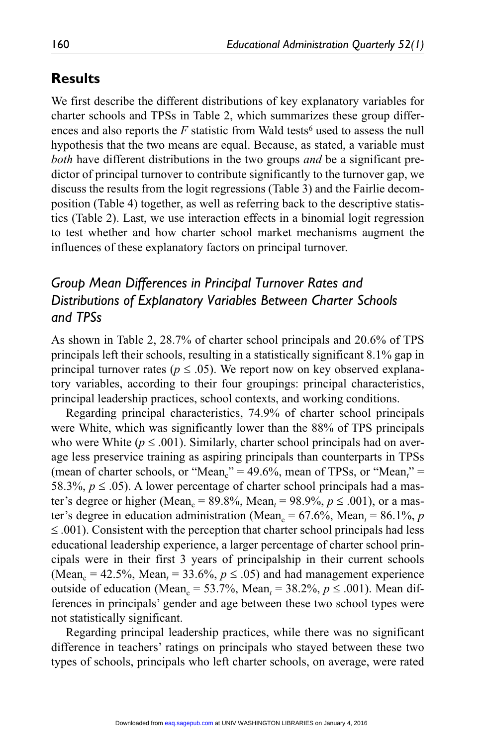# **Results**

We first describe the different distributions of key explanatory variables for charter schools and TPSs in Table 2, which summarizes these group differences and also reports the  $F$  statistic from Wald tests<sup>6</sup> used to assess the null hypothesis that the two means are equal. Because, as stated, a variable must *both* have different distributions in the two groups *and* be a significant predictor of principal turnover to contribute significantly to the turnover gap, we discuss the results from the logit regressions (Table 3) and the Fairlie decomposition (Table 4) together, as well as referring back to the descriptive statistics (Table 2). Last, we use interaction effects in a binomial logit regression to test whether and how charter school market mechanisms augment the influences of these explanatory factors on principal turnover.

# *Group Mean Differences in Principal Turnover Rates and Distributions of Explanatory Variables Between Charter Schools and TPSs*

As shown in Table 2, 28.7% of charter school principals and 20.6% of TPS principals left their schools, resulting in a statistically significant 8.1% gap in principal turnover rates ( $p \leq .05$ ). We report now on key observed explanatory variables, according to their four groupings: principal characteristics, principal leadership practices, school contexts, and working conditions.

Regarding principal characteristics, 74.9% of charter school principals were White, which was significantly lower than the 88% of TPS principals who were White ( $p \leq .001$ ). Similarly, charter school principals had on average less preservice training as aspiring principals than counterparts in TPSs (mean of charter schools, or "Mean<sub>c</sub>" = 49.6%, mean of TPSs, or "Mean<sub>*t*"</sub> = 58.3%,  $p \le 0.05$ ). A lower percentage of charter school principals had a master's degree or higher (Mean<sub>c</sub> = 89.8%, Mean<sub>t</sub> = 98.9%,  $p \le 0.001$ ), or a master's degree in education administration (Mean<sub>c</sub> = 67.6%, Mean<sub>t</sub> = 86.1%, *p*  $\leq$  0.01). Consistent with the perception that charter school principals had less educational leadership experience, a larger percentage of charter school principals were in their first 3 years of principalship in their current schools (Mean<sub>c</sub> = 42.5%, Mean<sub>t</sub> = 33.6%,  $p \le 0.05$ ) and had management experience outside of education (Mean<sub>c</sub> = 53.7%, Mean<sub>t</sub> = 38.2%,  $p \le 0.001$ ). Mean differences in principals' gender and age between these two school types were not statistically significant.

Regarding principal leadership practices, while there was no significant difference in teachers' ratings on principals who stayed between these two types of schools, principals who left charter schools, on average, were rated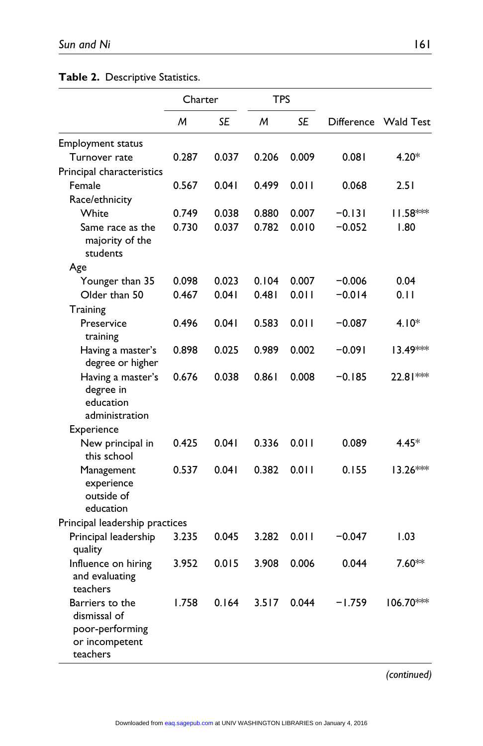**Table 2.** Descriptive Statistics.

|                                                                                  | Charter |       | <b>TPS</b> |       |                   |             |
|----------------------------------------------------------------------------------|---------|-------|------------|-------|-------------------|-------------|
|                                                                                  | M       | SE    | M          | SE    | <b>Difference</b> | Wald Test   |
| <b>Employment status</b>                                                         |         |       |            |       |                   |             |
| Turnover rate                                                                    | 0.287   | 0.037 | 0.206      | 0.009 | 0.081             | 4.20*       |
| Principal characteristics                                                        |         |       |            |       |                   |             |
| Female                                                                           | 0.567   | 0.041 | 0.499      | 0.011 | 0.068             | 2.51        |
| Race/ethnicity                                                                   |         |       |            |       |                   |             |
| White                                                                            | 0.749   | 0.038 | 0.880      | 0.007 | $-0.131$          | 11.58***    |
| Same race as the<br>majority of the<br>students                                  | 0.730   | 0.037 | 0.782      | 0.010 | $-0.052$          | 1.80        |
| Age                                                                              |         |       |            |       |                   |             |
| Younger than 35                                                                  | 0.098   | 0.023 | 0.104      | 0.007 | $-0.006$          | 0.04        |
| Older than 50                                                                    | 0.467   | 0.041 | 0.481      | 0.011 | $-0.014$          | 0. I I      |
| Training                                                                         |         |       |            |       |                   |             |
| Preservice<br>training                                                           | 0.496   | 0.041 | 0.583      | 0.011 | -0.087            | $4.10*$     |
| Having a master's<br>degree or higher                                            | 0.898   | 0.025 | 0.989      | 0.002 | $-0.091$          | 13.49***    |
| Having a master's<br>degree in<br>education<br>administration                    | 0.676   | 0.038 | 0.861      | 0.008 | -0.185            | $22.81***$  |
| Experience                                                                       |         |       |            |       |                   |             |
| New principal in<br>this school                                                  | 0.425   | 0.041 | 0.336      | 0.011 | 0.089             | 4.45*       |
| Management<br>experience<br>outside of<br>education                              | 0.537   | 0.041 | 0.382      | 0.011 | 0.155             | 13.26***    |
| Principal leadership practices                                                   |         |       |            |       |                   |             |
| Principal leadership<br>quality                                                  | 3.235   | 0.045 | 3.282      | 0.011 | $-0.047$          | 1.03        |
| Influence on hiring<br>and evaluating<br>teachers                                | 3.952   | 0.015 | 3.908      | 0.006 | 0.044             | 7.60**      |
| Barriers to the<br>dismissal of<br>poor-performing<br>or incompetent<br>teachers | 1.758   | 0.164 | 3.517      | 0.044 | -1.759            | $106.70***$ |

*(continued)*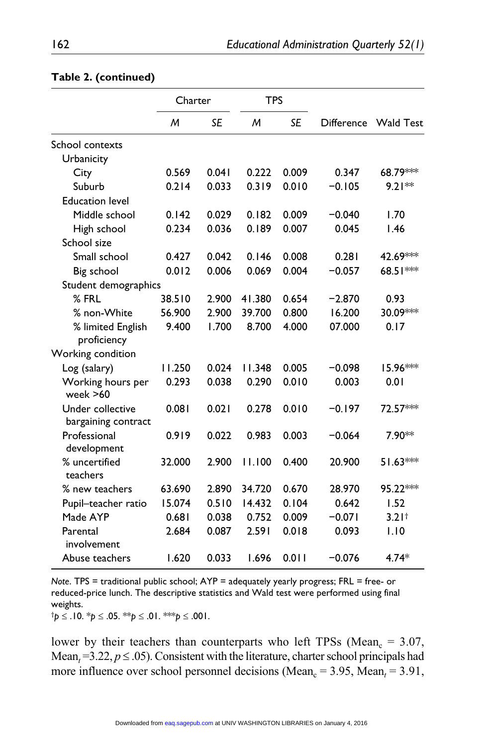|                                         | Charter |           | <b>TPS</b> |           |                   |                   |
|-----------------------------------------|---------|-----------|------------|-----------|-------------------|-------------------|
|                                         | M       | <b>SE</b> | M          | <b>SE</b> | <b>Difference</b> | <b>Wald Test</b>  |
| School contexts                         |         |           |            |           |                   |                   |
| Urbanicity                              |         |           |            |           |                   |                   |
| City                                    | 0.569   | 0.041     | 0.222      | 0.009     | 0.347             | 68.79***          |
| Suburb                                  | 0.214   | 0.033     | 0.319      | 0.010     | $-0.105$          | $9.21**$          |
| <b>Education level</b>                  |         |           |            |           |                   |                   |
| Middle school                           | 0.142   | 0.029     | 0.182      | 0.009     | $-0.040$          | 1.70              |
| High school                             | 0.234   | 0.036     | 0.189      | 0.007     | 0.045             | 1.46              |
| School size                             |         |           |            |           |                   |                   |
| Small school                            | 0.427   | 0.042     | 0.146      | 0.008     | 0.281             | 42.69***          |
| Big school                              | 0.012   | 0.006     | 0.069      | 0.004     | $-0.057$          | 68.51***          |
| Student demographics                    |         |           |            |           |                   |                   |
| $%$ FRL                                 | 38.510  | 2.900     | 41.380     | 0.654     | $-2.870$          | 0.93              |
| % non-White                             | 56.900  | 2.900     | 39.700     | 0.800     | 16.200            | 30.09***          |
| % limited English<br>proficiency        | 9.400   | 1.700     | 8.700      | 4.000     | 07.000            | 0.17              |
| Working condition                       |         |           |            |           |                   |                   |
| Log (salary)                            | 11.250  | 0.024     | 11.348     | 0.005     | $-0.098$          | 15.96***          |
| Working hours per<br>week $>60$         | 0.293   | 0.038     | 0.290      | 0.010     | 0.003             | 0.01              |
| Under collective<br>bargaining contract | 0.081   | 0.021     | 0.278      | 0.010     | $-0.197$          | 72.57***          |
| Professional<br>development             | 0.919   | 0.022     | 0.983      | 0.003     | $-0.064$          | 7.90**            |
| % uncertified<br>teachers               | 32.000  | 2.900     | 11.100     | 0.400     | 20.900            | $51.63***$        |
| % new teachers                          | 63.690  | 2.890     | 34.720     | 0.670     | 28.970            | 95.22***          |
| Pupil-teacher ratio                     | 15.074  | 0.510     | 14.432     | 0.104     | 0.642             | 1.52              |
| Made AYP                                | 0.681   | 0.038     | 0.752      | 0.009     | $-0.071$          | 3.21 <sup>†</sup> |
| Parental<br>involvement                 | 2.684   | 0.087     | 2.591      | 0.018     | 0.093             | 1.10              |
| Abuse teachers                          | 1.620   | 0.033     | 1.696      | 0.011     | $-0.076$          | $4.74*$           |

#### **Table 2. (continued)**

*Note*. TPS = traditional public school; AYP = adequately yearly progress; FRL = free- or reduced-price lunch. The descriptive statistics and Wald test were performed using final weights.

†*p* ≤ .10. \**p* ≤ .05. \*\**p* ≤ .01. \*\*\**p* ≤ .001.

lower by their teachers than counterparts who left TPSs (Mean<sub>c</sub> =  $3.07$ , Mean<sub> $t$ </sub> = 3.22,  $p \le 0.05$ ). Consistent with the literature, charter school principals had more influence over school personnel decisions (Mean<sub>c</sub> = 3.95, Mean<sub>t</sub> = 3.91,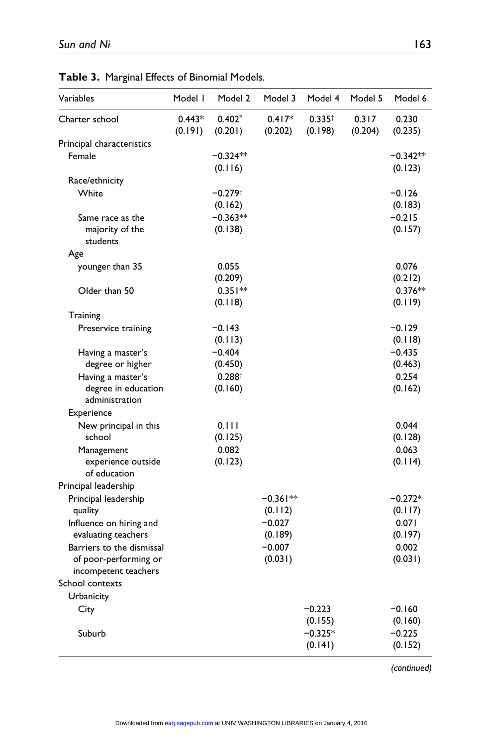| Variables                             | Model I             | Model 2               | Model 3             | Model 4                | Model 5          | Model 6               |
|---------------------------------------|---------------------|-----------------------|---------------------|------------------------|------------------|-----------------------|
| Charter school                        | $0.443*$<br>(0.191) | $0.402*$<br>(0.201)   | $0.417*$<br>(0.202) | $0.335^{+}$<br>(0.198) | 0.317<br>(0.204) | 0.230<br>(0.235)      |
| Principal characteristics             |                     |                       |                     |                        |                  |                       |
| Female                                |                     | $-0.324**$<br>(0.116) |                     |                        |                  | $-0.342**$<br>(0.123) |
| Race/ethnicity                        |                     |                       |                     |                        |                  |                       |
| White                                 |                     | $-0.279$ <sup>+</sup> |                     |                        |                  | $-0.126$              |
|                                       |                     | (0.162)               |                     |                        |                  | (0.183)               |
| Same race as the                      |                     | $-0.363**$            |                     |                        |                  | $-0.215$              |
| majority of the<br>students           |                     | (0.138)               |                     |                        |                  | (0.157)               |
| Age                                   |                     |                       |                     |                        |                  |                       |
| younger than 35                       |                     | 0.055                 |                     |                        |                  | 0.076                 |
|                                       |                     | (0.209)               |                     |                        |                  | (0.212)               |
| Older than 50                         |                     | $0.351**$             |                     |                        |                  | $0.376**$             |
|                                       |                     | (0.118)               |                     |                        |                  | (0.119)               |
| Training                              |                     |                       |                     |                        |                  |                       |
| Preservice training                   |                     | $-0.143$              |                     |                        |                  | $-0.129$              |
|                                       |                     | (0.113)               |                     |                        |                  | (0.118)               |
| Having a master's                     |                     | $-0.404$              |                     |                        |                  | $-0.435$              |
| degree or higher                      |                     | (0.450)               |                     |                        |                  | (0.463)               |
| Having a master's                     |                     | 0.288 <sup>†</sup>    |                     |                        |                  | 0.254                 |
| degree in education<br>administration |                     | (0.160)               |                     |                        |                  | (0.162)               |
| Experience                            |                     |                       |                     |                        |                  |                       |
| New principal in this                 |                     | 0.111                 |                     |                        |                  | 0.044                 |
| school                                |                     | (0.125)               |                     |                        |                  | (0.128)               |
| Management                            |                     | 0.082                 |                     |                        |                  | 0.063                 |
| experience outside<br>of education    |                     | (0.123)               |                     |                        |                  | (0.114)               |
| Principal leadership                  |                     |                       |                     |                        |                  |                       |
| Principal leadership                  |                     |                       | $-0.361**$          |                        |                  | $-0.272*$             |
| quality                               |                     |                       | (0.112)             |                        |                  | (0.117)               |
| Influence on hiring and               |                     |                       | $-0.027$            |                        |                  | 0.071                 |
| evaluating teachers                   |                     |                       | (0.189)             |                        |                  | (0.197)               |
| Barriers to the dismissal             |                     |                       | $-0.007$            |                        |                  | 0.002                 |
| of poor-performing or                 |                     |                       | (0.031)             |                        |                  | (0.031)               |
| incompetent teachers                  |                     |                       |                     |                        |                  |                       |
| School contexts                       |                     |                       |                     |                        |                  |                       |
| Urbanicity                            |                     |                       |                     |                        |                  |                       |
| City                                  |                     |                       |                     | $-0.223$               |                  | $-0.160$              |
|                                       |                     |                       |                     | (0.155)                |                  | (0.160)               |
| Suburb                                |                     |                       |                     | $-0.325*$              |                  | $-0.225$              |
|                                       |                     |                       |                     | (0.141)                |                  | (0.152)               |

**Table 3.** Marginal Effects of Binomial Models.

*(continued)*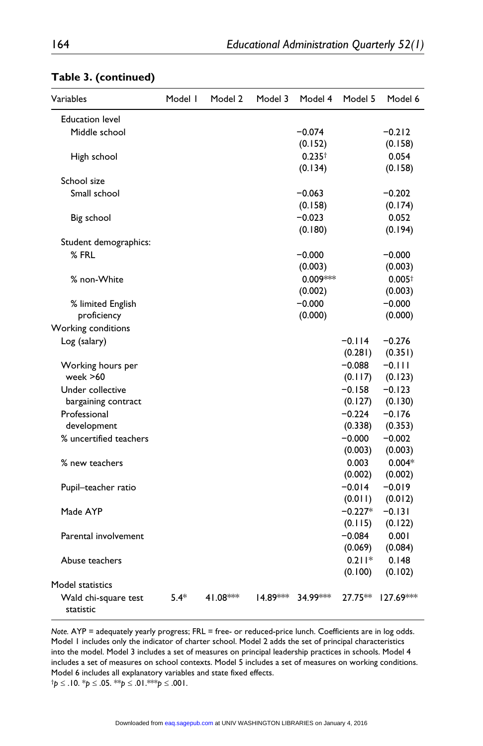| Variables                         | Model I | Model 2   | Model 3  | Model 4     | Model 5   | Model 6     |
|-----------------------------------|---------|-----------|----------|-------------|-----------|-------------|
| <b>Education level</b>            |         |           |          |             |           |             |
| Middle school                     |         |           |          | $-0.074$    |           | $-0.212$    |
|                                   |         |           |          | (0.152)     |           | (0.158)     |
| High school                       |         |           |          | $0.235^{+}$ |           | 0.054       |
|                                   |         |           |          | (0.134)     |           | (0.158)     |
| School size                       |         |           |          |             |           |             |
| Small school                      |         |           |          | $-0.063$    |           | $-0.202$    |
|                                   |         |           |          | (0.158)     |           | (0.174)     |
| Big school                        |         |           |          | $-0.023$    |           | 0.052       |
|                                   |         |           |          | (0.180)     |           | (0.194)     |
| Student demographics:             |         |           |          |             |           |             |
| $%$ FRL                           |         |           |          | $-0.000$    |           | $-0.000$    |
|                                   |         |           |          | (0.003)     |           | (0.003)     |
| % non-White                       |         |           |          | 0.009***    |           | $0.005+$    |
|                                   |         |           |          | (0.002)     |           | (0.003)     |
| % limited English                 |         |           |          | $-0.000$    |           | $-0.000$    |
| proficiency                       |         |           |          | (0.000)     |           | (0.000)     |
| Working conditions                |         |           |          |             |           |             |
| Log (salary)                      |         |           |          |             | $-0.114$  | $-0.276$    |
|                                   |         |           |          |             | (0.281)   | (0.351)     |
| Working hours per                 |         |           |          |             | $-0.088$  | $-0.111$    |
| week >60                          |         |           |          |             | (0.117)   | (0.123)     |
| Under collective                  |         |           |          |             | $-0.158$  | $-0.123$    |
| bargaining contract               |         |           |          |             | (0.127)   | (0.130)     |
| Professional                      |         |           |          |             | $-0.224$  | $-0.176$    |
| development                       |         |           |          |             | (0.338)   | (0.353)     |
| % uncertified teachers            |         |           |          |             | $-0.000$  | $-0.002$    |
|                                   |         |           |          |             | (0.003)   | (0.003)     |
| % new teachers                    |         |           |          |             | 0.003     | $0.004*$    |
|                                   |         |           |          |             | (0.002)   | (0.002)     |
| Pupil-teacher ratio               |         |           |          |             | $-0.014$  | $-0.019$    |
|                                   |         |           |          |             | (0.011)   | (0.012)     |
| Made AYP                          |         |           |          |             | $-0.227*$ | $-0.131$    |
|                                   |         |           |          |             | (0.115)   | (0.122)     |
| Parental involvement              |         |           |          |             | $-0.084$  | 0.001       |
|                                   |         |           |          |             | (0.069)   | (0.084)     |
| Abuse teachers                    |         |           |          |             | $0.211*$  | 0.148       |
|                                   |         |           |          |             | (0.100)   | (0.102)     |
| Model statistics                  |         |           |          |             |           |             |
| Wald chi-square test<br>statistic | $5.4*$  | 41.08 *** | 14.89*** | 34.99***    | 27.75**   | $127.69***$ |

#### **Table 3. (continued)**

*Note.* AYP = adequately yearly progress; FRL = free- or reduced-price lunch. Coefficients are in log odds. Model 1 includes only the indicator of charter school. Model 2 adds the set of principal characteristics into the model. Model 3 includes a set of measures on principal leadership practices in schools. Model 4 includes a set of measures on school contexts. Model 5 includes a set of measures on working conditions. Model 6 includes all explanatory variables and state fixed effects. †*p* ≤ .10. \**p* ≤ .05. \*\**p* ≤ .01.\*\*\**p* ≤ .001.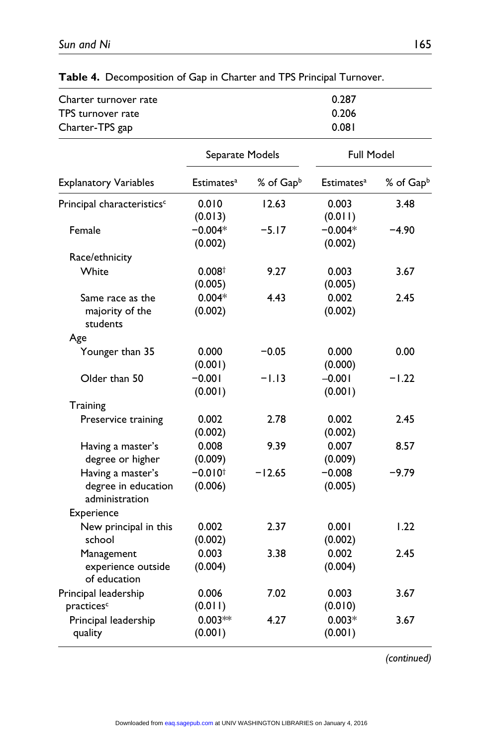| Charter turnover rate<br>TPS turnover rate<br>Charter-TPS gap |                                  |                       | 0.287<br>0.206<br>0.081 |           |
|---------------------------------------------------------------|----------------------------------|-----------------------|-------------------------|-----------|
|                                                               | Separate Models                  |                       | Full Model              |           |
| <b>Explanatory Variables</b>                                  | Estimates <sup>a</sup>           | % of Gap <sup>b</sup> | Estimates <sup>a</sup>  | % of Gapb |
| Principal characteristics <sup>c</sup>                        | 0.010<br>(0.013)                 | 12.63                 | 0.003<br>(0.011)        | 3.48      |
| Female                                                        | $-0.004*$<br>(0.002)             | $-5.17$               | $-0.004*$<br>(0.002)    | $-4.90$   |
| Race/ethnicity                                                |                                  |                       |                         |           |
| White                                                         | 0.008 <sup>†</sup><br>(0.005)    | 9.27                  | 0.003<br>(0.005)        | 3.67      |
| Same race as the<br>majority of the<br>students               | $0.004*$<br>(0.002)              | 4.43                  | 0.002<br>(0.002)        | 2.45      |
| Age                                                           |                                  |                       |                         |           |
| Younger than 35                                               | 0.000<br>(0.001)                 | $-0.05$               | 0.000<br>(0.000)        | 0.00      |
| Older than 50                                                 | $-0.001$<br>(0.001)              | $-1.13$               | $-0.001$<br>(0.001)     | $-1.22$   |
| Training                                                      |                                  |                       |                         |           |
| Preservice training                                           | 0.002<br>(0.002)                 | 2.78                  | 0.002<br>(0.002)        | 2.45      |
| Having a master's<br>degree or higher                         | 0.008<br>(0.009)                 | 9.39                  | 0.007<br>(0.009)        | 8.57      |
| Having a master's<br>degree in education<br>administration    | $-0.010$ <sup>+</sup><br>(0.006) | $-12.65$              | $-0.008$<br>(0.005)     | $-9.79$   |
| Experience                                                    |                                  |                       |                         |           |
| New principal in this<br>school                               | 0.002<br>(0.002)                 | 2.37                  | 0.001<br>(0.002)        | 1.22      |
| Management<br>experience outside<br>of education              | 0.003<br>(0.004)                 | 3.38                  | 0.002<br>(0.004)        | 2.45      |
| Principal leadership<br>practices <sup>c</sup>                | 0.006<br>(0.011)                 | 7.02                  | 0.003<br>(0.010)        | 3.67      |
| Principal leadership<br>quality                               | $0.003**$<br>(0.001)             | 4.27                  | $0.003*$<br>(0.001)     | 3.67      |

**Table 4.** Decomposition of Gap in Charter and TPS Principal Turnover.

*(continued)*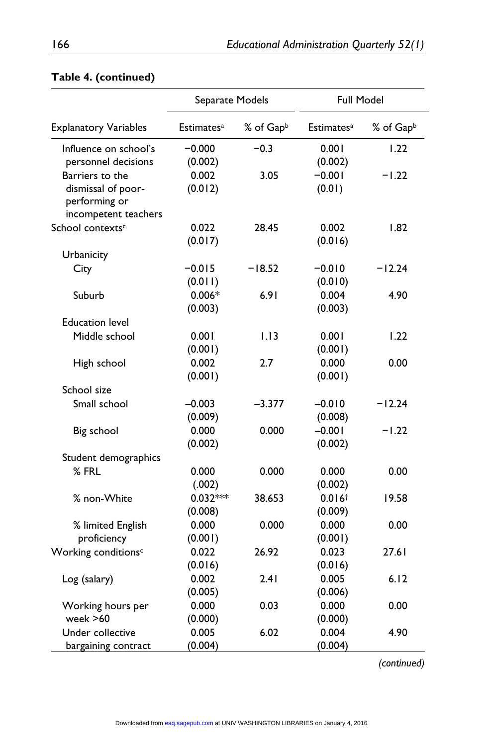|                                                                                | Separate Models        |           | <b>Full Model</b>             |           |
|--------------------------------------------------------------------------------|------------------------|-----------|-------------------------------|-----------|
| <b>Explanatory Variables</b>                                                   | Estimates <sup>a</sup> | % of Gapb | Estimates <sup>a</sup>        | % of Gapb |
| Influence on school's<br>personnel decisions                                   | $-0.000$<br>(0.002)    | $-0.3$    | 0.001<br>(0.002)              | 1.22      |
| Barriers to the<br>dismissal of poor-<br>performing or<br>incompetent teachers | 0.002<br>(0.012)       | 3.05      | $-0.001$<br>(0.01)            | $-1.22$   |
| School contexts <sup>c</sup>                                                   | 0.022<br>(0.017)       | 28.45     | 0.002<br>(0.016)              | 1.82      |
| Urbanicity                                                                     |                        |           |                               |           |
| City                                                                           | $-0.015$<br>(0.011)    | $-18.52$  | $-0.010$<br>(0.010)           | $-12.24$  |
| Suburb                                                                         | $0.006*$<br>(0.003)    | 6.91      | 0.004<br>(0.003)              | 4.90      |
| <b>Education level</b>                                                         |                        |           |                               |           |
| Middle school                                                                  | 0.001<br>(0.001)       | 1.13      | 0.001<br>(0.001)              | 1.22      |
| High school                                                                    | 0.002<br>(0.001)       | 2.7       | 0.000<br>(0.001)              | 0.00      |
| School size                                                                    |                        |           |                               |           |
| Small school                                                                   | $-0.003$<br>(0.009)    | $-3.377$  | $-0.010$<br>(0.008)           | $-12.24$  |
| Big school                                                                     | 0.000<br>(0.002)       | 0.000     | $-0.001$<br>(0.002)           | $-1.22$   |
| Student demographics                                                           |                        |           |                               |           |
| % FRL                                                                          | 0.000<br>(.002)        | 0.000     | 0.000<br>(0.002)              | 0.00      |
| % non-White                                                                    | $0.032***$<br>(0.008)  | 38.653    | 0.016 <sup>†</sup><br>(0.009) | 19.58     |
| % limited English<br>proficiency                                               | 0.000<br>(0.001)       | 0.000     | 0.000<br>(0.001)              | 0.00      |
| Working conditions <sup>c</sup>                                                | 0.022<br>(0.016)       | 26.92     | 0.023<br>(0.016)              | 27.61     |
| Log (salary)                                                                   | 0.002<br>(0.005)       | 2.41      | 0.005<br>(0.006)              | 6.12      |
| Working hours per<br>week >60                                                  | 0.000<br>(0.000)       | 0.03      | 0.000<br>(0.000)              | 0.00      |
| Under collective<br>bargaining contract                                        | 0.005<br>(0.004)       | 6.02      | 0.004<br>(0.004)              | 4.90      |

# **Table 4. (continued)**

*(continued)*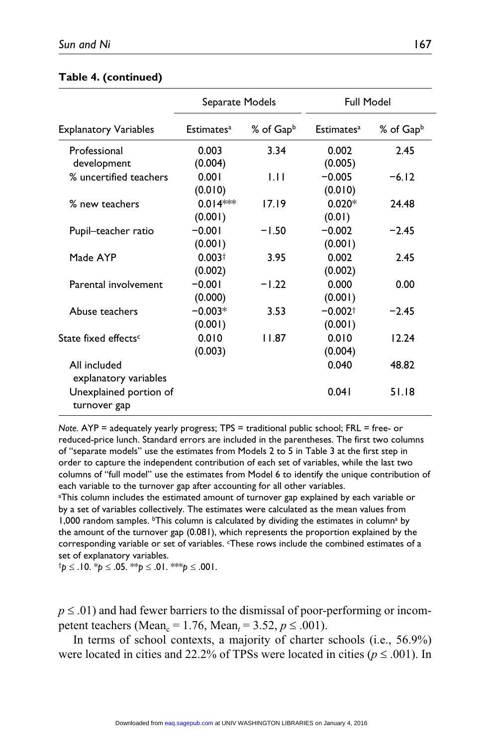#### **Table 4. (continued)**

|                                        | Separate Models        |                       | <b>Full Model</b>      |                       |
|----------------------------------------|------------------------|-----------------------|------------------------|-----------------------|
| <b>Explanatory Variables</b>           | Estimates <sup>a</sup> | % of Gap <sup>b</sup> | Estimates <sup>a</sup> | % of Gap <sup>b</sup> |
| Professional                           | 0.003                  | 3.34                  | 0.002                  | 2.45                  |
| development                            | (0.004)                |                       | (0.005)                |                       |
| % uncertified teachers                 | 0.001                  | 1.11                  | $-0.005$               | $-6.12$               |
|                                        | (0.010)                |                       | (0.010)                |                       |
| % new teachers                         | $0.014***$             | 17.19                 | $0.020*$               | 24.48                 |
|                                        | (0.001)                |                       | (0.01)                 |                       |
| Pupil-teacher ratio                    | $-0.001$               | $-1.50$               | $-0.002$               | $-2.45$               |
|                                        | (0.001)                |                       | (0.001)                |                       |
| Made AYP                               | 0.003 <sup>†</sup>     | 3.95                  | 0.002                  | 2.45                  |
|                                        | (0.002)                |                       | (0.002)                |                       |
| Parental involvement                   | $-0.001$               | $-1.22$               | 0.000                  | 0.00                  |
|                                        | (0.000)                |                       | (0.001)                |                       |
| Abuse teachers                         | $-0.003*$              | 3.53                  | $-0.002$ <sup>+</sup>  | $-2.45$               |
|                                        | (0.001)                |                       | (0.001)                |                       |
| State fixed effects <sup>c</sup>       | 0.010                  | 11.87                 | 0.010                  | 12.24                 |
|                                        | (0.003)                |                       | (0.004)                |                       |
| All included<br>explanatory variables  |                        |                       | 0.040                  | 48.82                 |
| Unexplained portion of<br>turnover gap |                        |                       | 0.041                  | 51.18                 |

*Note.* AYP = adequately yearly progress; TPS = traditional public school; FRL = free- or reduced-price lunch. Standard errors are included in the parentheses. The first two columns of "separate models" use the estimates from Models 2 to 5 in Table 3 at the first step in order to capture the independent contribution of each set of variables, while the last two columns of "full model" use the estimates from Model 6 to identify the unique contribution of each variable to the turnover gap after accounting for all other variables.

a This column includes the estimated amount of turnover gap explained by each variable or by a set of variables collectively. The estimates were calculated as the mean values from 1,000 random samples. <sup>b</sup>This column is calculated by dividing the estimates in column<sup>a</sup> by the amount of the turnover gap (0.081), which represents the proportion explained by the corresponding variable or set of variables. These rows include the combined estimates of a set of explanatory variables.

†*p* ≤ .10. \**p* ≤ .05. \*\**p* ≤ .01. \*\*\**p* ≤ .001.

 $p \leq 0.01$  and had fewer barriers to the dismissal of poor-performing or incompetent teachers (Mean<sub>c</sub> = 1.76, Mean<sub>t</sub> = 3.52,  $p \le 0.001$ ).

In terms of school contexts, a majority of charter schools (i.e., 56.9%) were located in cities and 22.2% of TPSs were located in cities ( $p \le 0.001$ ). In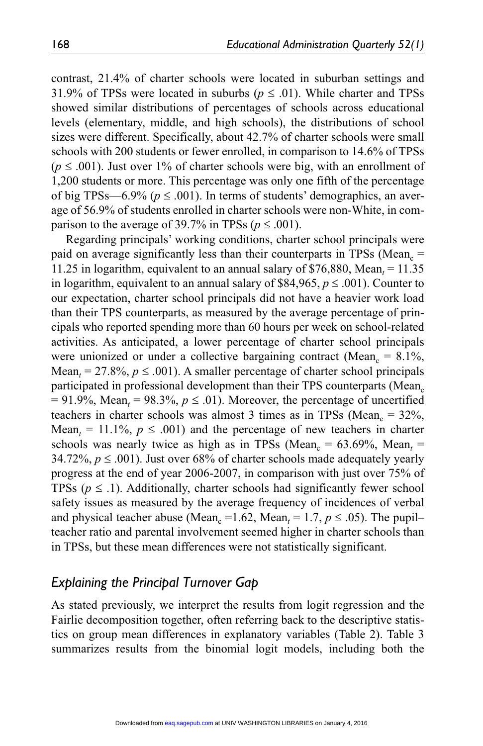contrast, 21.4% of charter schools were located in suburban settings and 31.9% of TPSs were located in suburbs ( $p \le 0.01$ ). While charter and TPSs showed similar distributions of percentages of schools across educational levels (elementary, middle, and high schools), the distributions of school sizes were different. Specifically, about 42.7% of charter schools were small schools with 200 students or fewer enrolled, in comparison to 14.6% of TPSs  $(p \leq .001)$ . Just over 1% of charter schools were big, with an enrollment of 1,200 students or more. This percentage was only one fifth of the percentage of big TPSs—6.9% ( $p \le 0.001$ ). In terms of students' demographics, an average of 56.9% of students enrolled in charter schools were non-White, in comparison to the average of 39.7% in TPSs ( $p \le 0.001$ ).

Regarding principals' working conditions, charter school principals were paid on average significantly less than their counterparts in TPSs (Mean<sub>c</sub>  $=$ 11.25 in logarithm, equivalent to an annual salary of \$76,880, Mean<sub>*t*</sub> = 11.35 in logarithm, equivalent to an annual salary of \$84,965,  $p \leq .001$ ). Counter to our expectation, charter school principals did not have a heavier work load than their TPS counterparts, as measured by the average percentage of principals who reported spending more than 60 hours per week on school-related activities. As anticipated, a lower percentage of charter school principals were unionized or under a collective bargaining contract (Mean<sub>c</sub> =  $8.1\%$ , Mean<sub>t</sub> = 27.8%,  $p \leq .001$ ). A smaller percentage of charter school principals participated in professional development than their TPS counterparts (Mean<sub>c</sub>  $= 91.9\%$ , Mean<sub>t</sub> = 98.3%,  $p \le 0.01$ ). Moreover, the percentage of uncertified teachers in charter schools was almost 3 times as in TPSs (Mean<sub>c</sub> =  $32\%$ , Mean<sub>t</sub> = 11.1%,  $p \le 0.001$ ) and the percentage of new teachers in charter schools was nearly twice as high as in TPSs (Mean<sub>c</sub> = 63.69%, Mean<sub>t</sub> = 34.72%,  $p \le 0.001$ ). Just over 68% of charter schools made adequately yearly progress at the end of year 2006-2007, in comparison with just over 75% of TPSs  $(p \leq 1)$ . Additionally, charter schools had significantly fewer school safety issues as measured by the average frequency of incidences of verbal and physical teacher abuse (Mean<sub>c</sub> = 1.62, Mean<sub>t</sub> = 1.7,  $p \le 0.05$ ). The pupil– teacher ratio and parental involvement seemed higher in charter schools than in TPSs, but these mean differences were not statistically significant.

## *Explaining the Principal Turnover Gap*

As stated previously, we interpret the results from logit regression and the Fairlie decomposition together, often referring back to the descriptive statistics on group mean differences in explanatory variables (Table 2). Table 3 summarizes results from the binomial logit models, including both the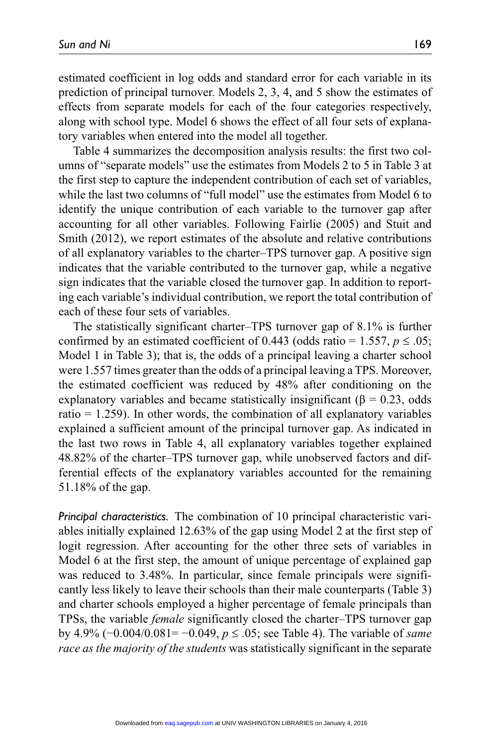estimated coefficient in log odds and standard error for each variable in its prediction of principal turnover. Models 2, 3, 4, and 5 show the estimates of effects from separate models for each of the four categories respectively, along with school type. Model 6 shows the effect of all four sets of explanatory variables when entered into the model all together.

Table 4 summarizes the decomposition analysis results: the first two columns of "separate models" use the estimates from Models 2 to 5 in Table 3 at the first step to capture the independent contribution of each set of variables, while the last two columns of "full model" use the estimates from Model 6 to identify the unique contribution of each variable to the turnover gap after accounting for all other variables. Following Fairlie (2005) and Stuit and Smith (2012), we report estimates of the absolute and relative contributions of all explanatory variables to the charter–TPS turnover gap. A positive sign indicates that the variable contributed to the turnover gap, while a negative sign indicates that the variable closed the turnover gap. In addition to reporting each variable's individual contribution, we report the total contribution of each of these four sets of variables.

The statistically significant charter–TPS turnover gap of 8.1% is further confirmed by an estimated coefficient of 0.443 (odds ratio = 1.557,  $p \le 0.05$ ; Model 1 in Table 3); that is, the odds of a principal leaving a charter school were 1.557 times greater than the odds of a principal leaving a TPS. Moreover, the estimated coefficient was reduced by 48% after conditioning on the explanatory variables and became statistically insignificant ( $\beta = 0.23$ , odds ratio  $= 1.259$ ). In other words, the combination of all explanatory variables explained a sufficient amount of the principal turnover gap. As indicated in the last two rows in Table 4, all explanatory variables together explained 48.82% of the charter–TPS turnover gap, while unobserved factors and differential effects of the explanatory variables accounted for the remaining 51.18% of the gap.

*Principal characteristics.* The combination of 10 principal characteristic variables initially explained 12.63% of the gap using Model 2 at the first step of logit regression. After accounting for the other three sets of variables in Model 6 at the first step, the amount of unique percentage of explained gap was reduced to 3.48%. In particular, since female principals were significantly less likely to leave their schools than their male counterparts (Table 3) and charter schools employed a higher percentage of female principals than TPSs, the variable *female* significantly closed the charter–TPS turnover gap by 4.9% (−0.004/0.081= −0.049, *p* ≤ .05; see Table 4). The variable of *same race as the majority of the students* was statistically significant in the separate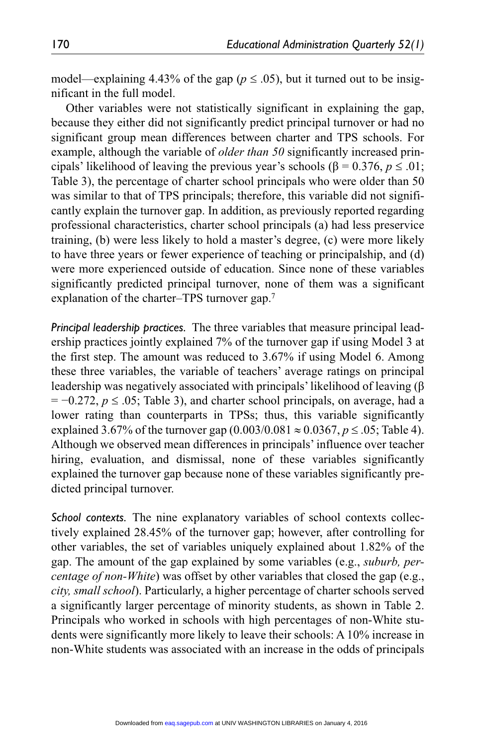model—explaining 4.43% of the gap ( $p \le 0.05$ ), but it turned out to be insignificant in the full model.

Other variables were not statistically significant in explaining the gap, because they either did not significantly predict principal turnover or had no significant group mean differences between charter and TPS schools. For example, although the variable of *older than 50* significantly increased principals' likelihood of leaving the previous year's schools (β = 0.376, *p* ≤ .01; Table 3), the percentage of charter school principals who were older than 50 was similar to that of TPS principals; therefore, this variable did not significantly explain the turnover gap. In addition, as previously reported regarding professional characteristics, charter school principals (a) had less preservice training, (b) were less likely to hold a master's degree, (c) were more likely to have three years or fewer experience of teaching or principalship, and (d) were more experienced outside of education. Since none of these variables significantly predicted principal turnover, none of them was a significant explanation of the charter–TPS turnover gap.7

*Principal leadership practices.* The three variables that measure principal leadership practices jointly explained 7% of the turnover gap if using Model 3 at the first step. The amount was reduced to 3.67% if using Model 6. Among these three variables, the variable of teachers' average ratings on principal leadership was negatively associated with principals' likelihood of leaving (β  $= -0.272$ ,  $p \le 0.05$ ; Table 3), and charter school principals, on average, had a lower rating than counterparts in TPSs; thus, this variable significantly explained 3.67% of the turnover gap  $(0.003/0.081 \approx 0.0367, p \le 0.05;$  Table 4). Although we observed mean differences in principals' influence over teacher hiring, evaluation, and dismissal, none of these variables significantly explained the turnover gap because none of these variables significantly predicted principal turnover.

*School contexts.* The nine explanatory variables of school contexts collectively explained 28.45% of the turnover gap; however, after controlling for other variables, the set of variables uniquely explained about 1.82% of the gap. The amount of the gap explained by some variables (e.g., *suburb, percentage of non-White*) was offset by other variables that closed the gap (e.g., *city, small school*). Particularly, a higher percentage of charter schools served a significantly larger percentage of minority students, as shown in Table 2. Principals who worked in schools with high percentages of non-White students were significantly more likely to leave their schools: A 10% increase in non-White students was associated with an increase in the odds of principals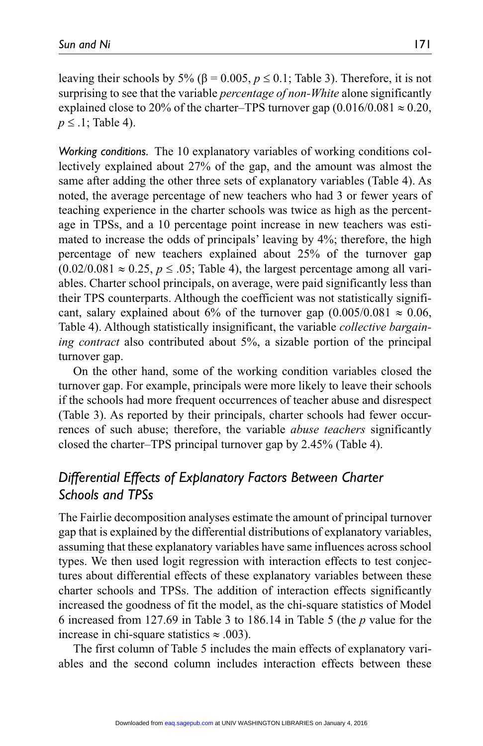leaving their schools by 5% (β = 0.005,  $p \le 0.1$ ; Table 3). Therefore, it is not surprising to see that the variable *percentage of non-White* alone significantly explained close to 20% of the charter–TPS turnover gap  $(0.016/0.081 \approx 0.20,$ *p* ≤ .1; Table 4).

*Working conditions.* The 10 explanatory variables of working conditions collectively explained about 27% of the gap, and the amount was almost the same after adding the other three sets of explanatory variables (Table 4). As noted, the average percentage of new teachers who had 3 or fewer years of teaching experience in the charter schools was twice as high as the percentage in TPSs, and a 10 percentage point increase in new teachers was estimated to increase the odds of principals' leaving by 4%; therefore, the high percentage of new teachers explained about 25% of the turnover gap  $(0.02/0.081 \approx 0.25, p \leq 0.05$ ; Table 4), the largest percentage among all variables. Charter school principals, on average, were paid significantly less than their TPS counterparts. Although the coefficient was not statistically significant, salary explained about 6% of the turnover gap  $(0.005/0.081 \approx 0.06$ , Table 4). Although statistically insignificant, the variable *collective bargaining contract* also contributed about 5%, a sizable portion of the principal turnover gap.

On the other hand, some of the working condition variables closed the turnover gap. For example, principals were more likely to leave their schools if the schools had more frequent occurrences of teacher abuse and disrespect (Table 3). As reported by their principals, charter schools had fewer occurrences of such abuse; therefore, the variable *abuse teachers* significantly closed the charter–TPS principal turnover gap by 2.45% (Table 4).

# *Differential Effects of Explanatory Factors Between Charter Schools and TPSs*

The Fairlie decomposition analyses estimate the amount of principal turnover gap that is explained by the differential distributions of explanatory variables, assuming that these explanatory variables have same influences across school types. We then used logit regression with interaction effects to test conjectures about differential effects of these explanatory variables between these charter schools and TPSs. The addition of interaction effects significantly increased the goodness of fit the model, as the chi-square statistics of Model 6 increased from 127.69 in Table 3 to 186.14 in Table 5 (the *p* value for the increase in chi-square statistics ≈ .003).

The first column of Table 5 includes the main effects of explanatory variables and the second column includes interaction effects between these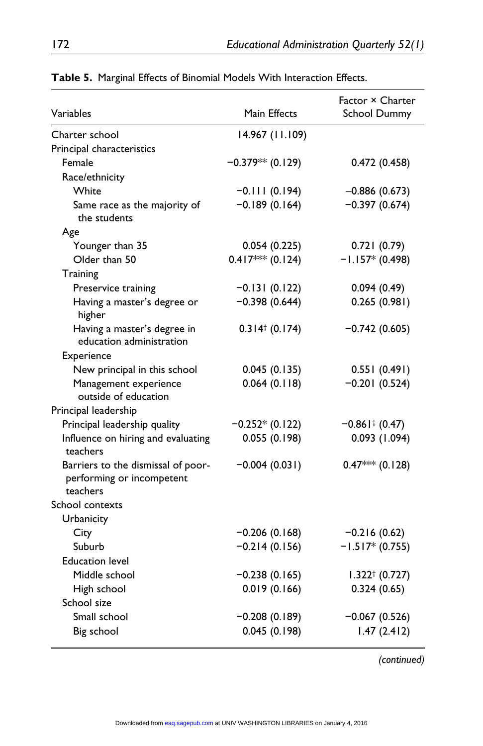| Variables                                                                   | Main Effects                 | Factor × Charter<br>School Dummy |
|-----------------------------------------------------------------------------|------------------------------|----------------------------------|
| Charter school                                                              | 14.967 (11.109)              |                                  |
| Principal characteristics                                                   |                              |                                  |
| Female                                                                      | $-0.379**$ (0.129)           | 0.472(0.458)                     |
| Race/ethnicity                                                              |                              |                                  |
| White                                                                       | $-0.111(0.194)$              | $-0.886(0.673)$                  |
| Same race as the majority of<br>the students                                | $-0.189(0.164)$              | $-0.397(0.674)$                  |
| Age                                                                         |                              |                                  |
| Younger than 35                                                             | 0.054(0.225)                 | 0.721(0.79)                      |
| Older than 50                                                               | $0.417*** (0.124)$           | $-1.157*(0.498)$                 |
| Training                                                                    |                              |                                  |
| Preservice training                                                         | $-0.131(0.122)$              | 0.094(0.49)                      |
| Having a master's degree or<br>higher                                       | $-0.398(0.644)$              | 0.265(0.981)                     |
| Having a master's degree in<br>education administration                     | $0.314$ <sup>†</sup> (0.174) | $-0.742(0.605)$                  |
| Experience                                                                  |                              |                                  |
| New principal in this school                                                | 0.045(0.135)                 | 0.551(0.491)                     |
| Management experience<br>outside of education                               | 0.064(0.118)                 | $-0.201(0.524)$                  |
| Principal leadership                                                        |                              |                                  |
| Principal leadership quality                                                | $-0.252*(0.122)$             | $-0.861$ $(0.47)$                |
| Influence on hiring and evaluating<br>teachers                              | 0.055(0.198)                 | 0.093(1.094)                     |
| Barriers to the dismissal of poor-<br>performing or incompetent<br>teachers | $-0.004(0.031)$              | $0.47***$ (0.128)                |
| School contexts                                                             |                              |                                  |
| Urbanicity                                                                  |                              |                                  |
| City                                                                        | $-0.206(0.168)$              | $-0.216(0.62)$                   |
| Suburb                                                                      | $-0.214(0.156)$              | $-1.517*(0.755)$                 |
| <b>Education level</b>                                                      |                              |                                  |
| Middle school                                                               | $-0.238(0.165)$              | $1.322^{\dagger}$ (0.727)        |
| High school                                                                 | 0.019(0.166)                 | 0.324(0.65)                      |
| School size                                                                 |                              |                                  |
| Small school                                                                | $-0.208(0.189)$              | $-0.067(0.526)$                  |
| Big school                                                                  | 0.045(0.198)                 | 1.47(2.412)                      |
|                                                                             |                              |                                  |

**Table 5.** Marginal Effects of Binomial Models With Interaction Effects.

*(continued)*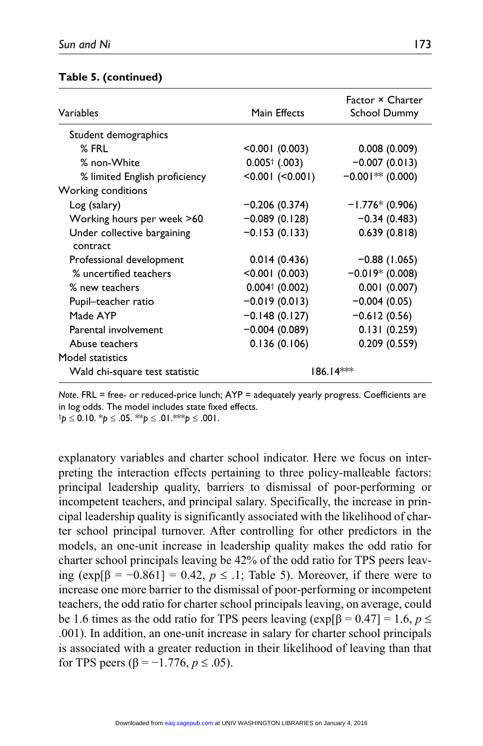#### **Table 5. (continued)**

| Variables                               | Main Effects             | <b>Factor × Charter</b><br><b>School Dummy</b> |
|-----------------------------------------|--------------------------|------------------------------------------------|
| Student demographics                    |                          |                                                |
| $%$ FRL                                 | < 0.001(0.003)           | 0.008(0.009)                                   |
| % non-White                             | $0.005^{\dagger}$ (.003) | $-0.007(0.013)$                                |
| % limited English proficiency           | < 0.001 (< 0.001)        | $-0.001**$ (0.000)                             |
| Working conditions                      |                          |                                                |
| Log (salary)                            | $-0.206(0.374)$          | $-1.776*(0.906)$                               |
| Working hours per week >60              | $-0.089(0.128)$          | $-0.34(0.483)$                                 |
| Under collective bargaining<br>contract | $-0.153(0.133)$          | 0.639(0.818)                                   |
| Professional development                | 0.014(0.436)             | $-0.88$ (1.065)                                |
| % uncertified teachers                  | $< 0.001$ (0.003)        | $-0.019*$ (0.008)                              |
| % new teachers                          | $0.004$ † (0.002)        | 0.001(0.007)                                   |
| Pupil-teacher ratio                     | $-0.019(0.013)$          | $-0.004(0.05)$                                 |
| Made AYP                                | $-0.148(0.127)$          | $-0.612(0.56)$                                 |
| Parental involvement                    | $-0.004(0.089)$          | 0.131(0.259)                                   |
| Abuse teachers                          | 0.136(0.106)             | 0.209(0.559)                                   |
| Model statistics                        |                          |                                                |
| Wald chi-square test statistic          |                          | 186.14***                                      |

*Note*. FRL = free- or reduced-price lunch; AYP = adequately yearly progress. Coefficients are in log odds. The model includes state fixed effects.

†*p* ≤ 0.10. \**p* ≤ .05. \*\**p* ≤ .01.\*\*\**p* ≤ .001.

explanatory variables and charter school indicator. Here we focus on interpreting the interaction effects pertaining to three policy-malleable factors: principal leadership quality, barriers to dismissal of poor-performing or incompetent teachers, and principal salary. Specifically, the increase in principal leadership quality is significantly associated with the likelihood of charter school principal turnover. After controlling for other predictors in the models, an one-unit increase in leadership quality makes the odd ratio for charter school principals leaving be 42% of the odd ratio for TPS peers leaving  $(\exp[\beta = -0.861] = 0.42, p \leq .1$ ; Table 5). Moreover, if there were to increase one more barrier to the dismissal of poor-performing or incompetent teachers, the odd ratio for charter school principals leaving, on average, could be 1.6 times as the odd ratio for TPS peers leaving  $(\exp[\beta = 0.47] = 1.6, p \le$ .001). In addition, an one-unit increase in salary for charter school principals is associated with a greater reduction in their likelihood of leaving than that for TPS peers (β = −1.776, *p* ≤ .05).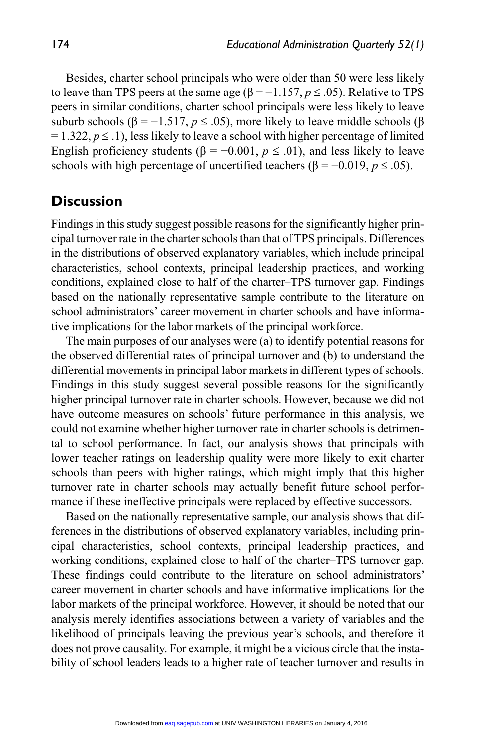Besides, charter school principals who were older than 50 were less likely to leave than TPS peers at the same age ( $\beta = -1.157$ ,  $p \le 0.05$ ). Relative to TPS peers in similar conditions, charter school principals were less likely to leave suburb schools ( $\beta$  = -1.517,  $p \leq 0.05$ ), more likely to leave middle schools ( $\beta$ )  $= 1.322, p \le 1$ , less likely to leave a school with higher percentage of limited English proficiency students ( $\beta$  = -0.001,  $p \le$  .01), and less likely to leave schools with high percentage of uncertified teachers ( $\beta = -0.019$ ,  $p \leq .05$ ).

# **Discussion**

Findings in this study suggest possible reasons for the significantly higher principal turnover rate in the charter schools than that of TPS principals. Differences in the distributions of observed explanatory variables, which include principal characteristics, school contexts, principal leadership practices, and working conditions, explained close to half of the charter–TPS turnover gap. Findings based on the nationally representative sample contribute to the literature on school administrators' career movement in charter schools and have informative implications for the labor markets of the principal workforce.

The main purposes of our analyses were (a) to identify potential reasons for the observed differential rates of principal turnover and (b) to understand the differential movements in principal labor markets in different types of schools. Findings in this study suggest several possible reasons for the significantly higher principal turnover rate in charter schools. However, because we did not have outcome measures on schools' future performance in this analysis, we could not examine whether higher turnover rate in charter schools is detrimental to school performance. In fact, our analysis shows that principals with lower teacher ratings on leadership quality were more likely to exit charter schools than peers with higher ratings, which might imply that this higher turnover rate in charter schools may actually benefit future school performance if these ineffective principals were replaced by effective successors.

Based on the nationally representative sample, our analysis shows that differences in the distributions of observed explanatory variables, including principal characteristics, school contexts, principal leadership practices, and working conditions, explained close to half of the charter–TPS turnover gap. These findings could contribute to the literature on school administrators' career movement in charter schools and have informative implications for the labor markets of the principal workforce. However, it should be noted that our analysis merely identifies associations between a variety of variables and the likelihood of principals leaving the previous year's schools, and therefore it does not prove causality. For example, it might be a vicious circle that the instability of school leaders leads to a higher rate of teacher turnover and results in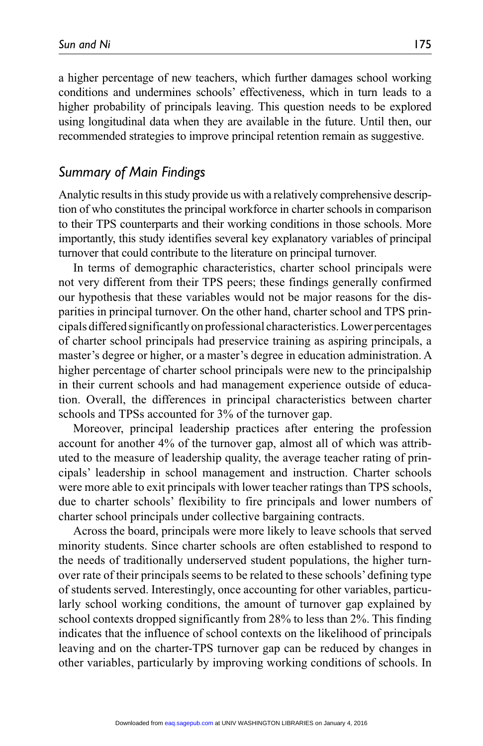a higher percentage of new teachers, which further damages school working conditions and undermines schools' effectiveness, which in turn leads to a higher probability of principals leaving. This question needs to be explored using longitudinal data when they are available in the future. Until then, our recommended strategies to improve principal retention remain as suggestive.

### *Summary of Main Findings*

Analytic results in this study provide us with a relatively comprehensive description of who constitutes the principal workforce in charter schools in comparison to their TPS counterparts and their working conditions in those schools. More importantly, this study identifies several key explanatory variables of principal turnover that could contribute to the literature on principal turnover.

In terms of demographic characteristics, charter school principals were not very different from their TPS peers; these findings generally confirmed our hypothesis that these variables would not be major reasons for the disparities in principal turnover. On the other hand, charter school and TPS principals differed significantly on professional characteristics. Lower percentages of charter school principals had preservice training as aspiring principals, a master's degree or higher, or a master's degree in education administration. A higher percentage of charter school principals were new to the principalship in their current schools and had management experience outside of education. Overall, the differences in principal characteristics between charter schools and TPSs accounted for 3% of the turnover gap.

Moreover, principal leadership practices after entering the profession account for another 4% of the turnover gap, almost all of which was attributed to the measure of leadership quality, the average teacher rating of principals' leadership in school management and instruction. Charter schools were more able to exit principals with lower teacher ratings than TPS schools, due to charter schools' flexibility to fire principals and lower numbers of charter school principals under collective bargaining contracts.

Across the board, principals were more likely to leave schools that served minority students. Since charter schools are often established to respond to the needs of traditionally underserved student populations, the higher turnover rate of their principals seems to be related to these schools' defining type of students served. Interestingly, once accounting for other variables, particularly school working conditions, the amount of turnover gap explained by school contexts dropped significantly from 28% to less than 2%. This finding indicates that the influence of school contexts on the likelihood of principals leaving and on the charter-TPS turnover gap can be reduced by changes in other variables, particularly by improving working conditions of schools. In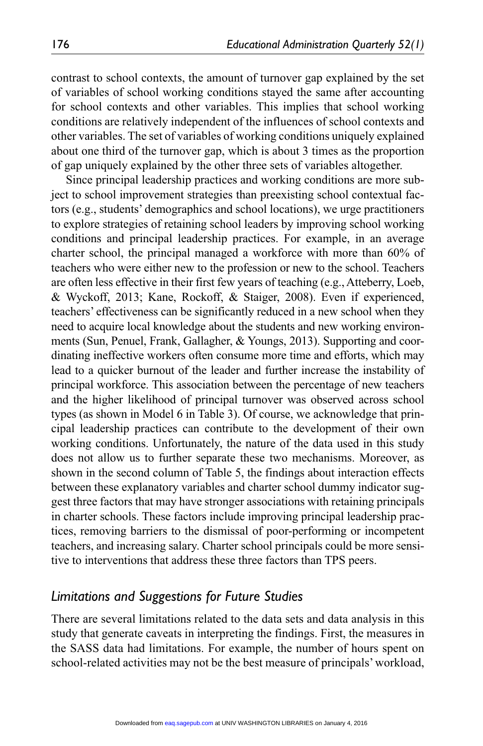contrast to school contexts, the amount of turnover gap explained by the set of variables of school working conditions stayed the same after accounting for school contexts and other variables. This implies that school working conditions are relatively independent of the influences of school contexts and other variables. The set of variables of working conditions uniquely explained about one third of the turnover gap, which is about 3 times as the proportion of gap uniquely explained by the other three sets of variables altogether.

Since principal leadership practices and working conditions are more subject to school improvement strategies than preexisting school contextual factors (e.g., students' demographics and school locations), we urge practitioners to explore strategies of retaining school leaders by improving school working conditions and principal leadership practices. For example, in an average charter school, the principal managed a workforce with more than 60% of teachers who were either new to the profession or new to the school. Teachers are often less effective in their first few years of teaching (e.g., Atteberry, Loeb, & Wyckoff, 2013; Kane, Rockoff, & Staiger, 2008). Even if experienced, teachers' effectiveness can be significantly reduced in a new school when they need to acquire local knowledge about the students and new working environments (Sun, Penuel, Frank, Gallagher, & Youngs, 2013). Supporting and coordinating ineffective workers often consume more time and efforts, which may lead to a quicker burnout of the leader and further increase the instability of principal workforce. This association between the percentage of new teachers and the higher likelihood of principal turnover was observed across school types (as shown in Model 6 in Table 3). Of course, we acknowledge that principal leadership practices can contribute to the development of their own working conditions. Unfortunately, the nature of the data used in this study does not allow us to further separate these two mechanisms. Moreover, as shown in the second column of Table 5, the findings about interaction effects between these explanatory variables and charter school dummy indicator suggest three factors that may have stronger associations with retaining principals in charter schools. These factors include improving principal leadership practices, removing barriers to the dismissal of poor-performing or incompetent teachers, and increasing salary. Charter school principals could be more sensitive to interventions that address these three factors than TPS peers.

### *Limitations and Suggestions for Future Studies*

There are several limitations related to the data sets and data analysis in this study that generate caveats in interpreting the findings. First, the measures in the SASS data had limitations. For example, the number of hours spent on school-related activities may not be the best measure of principals' workload,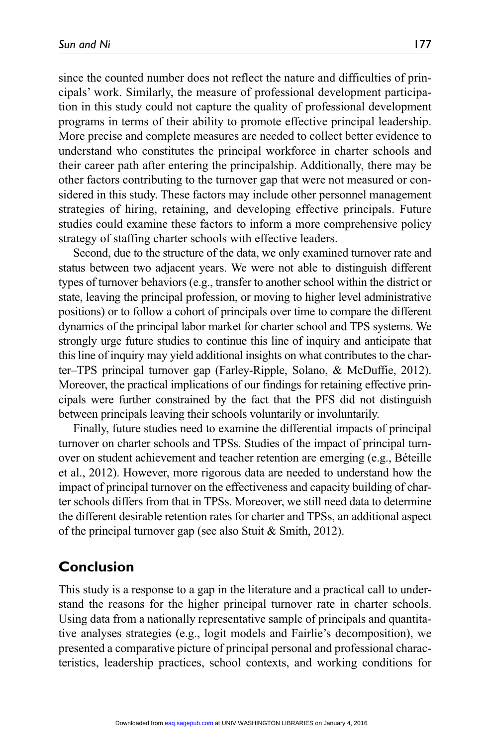since the counted number does not reflect the nature and difficulties of principals' work. Similarly, the measure of professional development participation in this study could not capture the quality of professional development programs in terms of their ability to promote effective principal leadership. More precise and complete measures are needed to collect better evidence to understand who constitutes the principal workforce in charter schools and their career path after entering the principalship. Additionally, there may be other factors contributing to the turnover gap that were not measured or considered in this study. These factors may include other personnel management strategies of hiring, retaining, and developing effective principals. Future studies could examine these factors to inform a more comprehensive policy strategy of staffing charter schools with effective leaders.

Second, due to the structure of the data, we only examined turnover rate and status between two adjacent years. We were not able to distinguish different types of turnover behaviors (e.g., transfer to another school within the district or state, leaving the principal profession, or moving to higher level administrative positions) or to follow a cohort of principals over time to compare the different dynamics of the principal labor market for charter school and TPS systems. We strongly urge future studies to continue this line of inquiry and anticipate that this line of inquiry may yield additional insights on what contributes to the charter–TPS principal turnover gap (Farley-Ripple, Solano, & McDuffie, 2012). Moreover, the practical implications of our findings for retaining effective principals were further constrained by the fact that the PFS did not distinguish between principals leaving their schools voluntarily or involuntarily.

Finally, future studies need to examine the differential impacts of principal turnover on charter schools and TPSs. Studies of the impact of principal turnover on student achievement and teacher retention are emerging (e.g., Béteille et al., 2012). However, more rigorous data are needed to understand how the impact of principal turnover on the effectiveness and capacity building of charter schools differs from that in TPSs. Moreover, we still need data to determine the different desirable retention rates for charter and TPSs, an additional aspect of the principal turnover gap (see also Stuit & Smith, 2012).

# **Conclusion**

This study is a response to a gap in the literature and a practical call to understand the reasons for the higher principal turnover rate in charter schools. Using data from a nationally representative sample of principals and quantitative analyses strategies (e.g., logit models and Fairlie's decomposition), we presented a comparative picture of principal personal and professional characteristics, leadership practices, school contexts, and working conditions for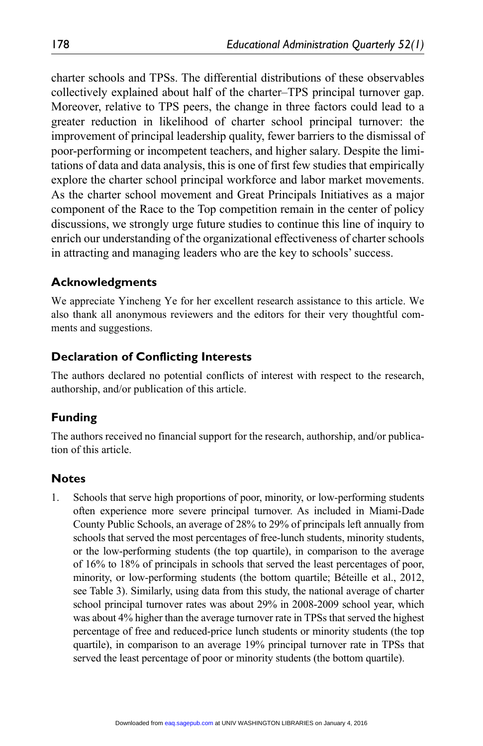charter schools and TPSs. The differential distributions of these observables collectively explained about half of the charter–TPS principal turnover gap. Moreover, relative to TPS peers, the change in three factors could lead to a greater reduction in likelihood of charter school principal turnover: the improvement of principal leadership quality, fewer barriers to the dismissal of poor-performing or incompetent teachers, and higher salary. Despite the limitations of data and data analysis, this is one of first few studies that empirically explore the charter school principal workforce and labor market movements. As the charter school movement and Great Principals Initiatives as a major component of the Race to the Top competition remain in the center of policy discussions, we strongly urge future studies to continue this line of inquiry to enrich our understanding of the organizational effectiveness of charter schools in attracting and managing leaders who are the key to schools' success.

### **Acknowledgments**

We appreciate Yincheng Ye for her excellent research assistance to this article. We also thank all anonymous reviewers and the editors for their very thoughtful comments and suggestions.

### **Declaration of Conflicting Interests**

The authors declared no potential conflicts of interest with respect to the research, authorship, and/or publication of this article.

### **Funding**

The authors received no financial support for the research, authorship, and/or publication of this article.

### **Notes**

1. Schools that serve high proportions of poor, minority, or low-performing students often experience more severe principal turnover. As included in Miami-Dade County Public Schools, an average of 28% to 29% of principals left annually from schools that served the most percentages of free-lunch students, minority students, or the low-performing students (the top quartile), in comparison to the average of 16% to 18% of principals in schools that served the least percentages of poor, minority, or low-performing students (the bottom quartile; Béteille et al., 2012, see Table 3). Similarly, using data from this study, the national average of charter school principal turnover rates was about 29% in 2008-2009 school year, which was about 4% higher than the average turnover rate in TPSs that served the highest percentage of free and reduced-price lunch students or minority students (the top quartile), in comparison to an average 19% principal turnover rate in TPSs that served the least percentage of poor or minority students (the bottom quartile).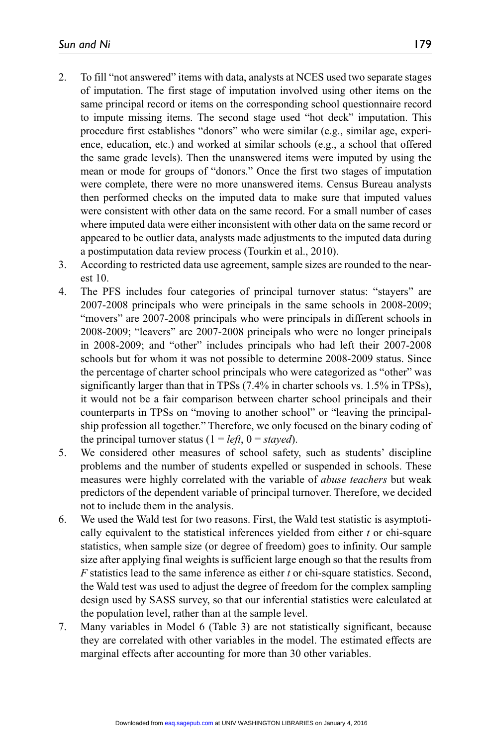- 2. To fill "not answered" items with data, analysts at NCES used two separate stages of imputation. The first stage of imputation involved using other items on the same principal record or items on the corresponding school questionnaire record to impute missing items. The second stage used "hot deck" imputation. This procedure first establishes "donors" who were similar (e.g., similar age, experience, education, etc.) and worked at similar schools (e.g., a school that offered the same grade levels). Then the unanswered items were imputed by using the mean or mode for groups of "donors." Once the first two stages of imputation were complete, there were no more unanswered items. Census Bureau analysts then performed checks on the imputed data to make sure that imputed values were consistent with other data on the same record. For a small number of cases where imputed data were either inconsistent with other data on the same record or appeared to be outlier data, analysts made adjustments to the imputed data during a postimputation data review process (Tourkin et al., 2010).
- 3. According to restricted data use agreement, sample sizes are rounded to the nearest 10.
- 4. The PFS includes four categories of principal turnover status: "stayers" are 2007-2008 principals who were principals in the same schools in 2008-2009; "movers" are 2007-2008 principals who were principals in different schools in 2008-2009; "leavers" are 2007-2008 principals who were no longer principals in 2008-2009; and "other" includes principals who had left their 2007-2008 schools but for whom it was not possible to determine 2008-2009 status. Since the percentage of charter school principals who were categorized as "other" was significantly larger than that in TPSs (7.4% in charter schools vs. 1.5% in TPSs), it would not be a fair comparison between charter school principals and their counterparts in TPSs on "moving to another school" or "leaving the principalship profession all together." Therefore, we only focused on the binary coding of the principal turnover status  $(1 = left, 0 = stayed)$ .
- 5. We considered other measures of school safety, such as students' discipline problems and the number of students expelled or suspended in schools. These measures were highly correlated with the variable of *abuse teachers* but weak predictors of the dependent variable of principal turnover. Therefore, we decided not to include them in the analysis.
- 6. We used the Wald test for two reasons. First, the Wald test statistic is asymptotically equivalent to the statistical inferences yielded from either *t* or chi-square statistics, when sample size (or degree of freedom) goes to infinity. Our sample size after applying final weights is sufficient large enough so that the results from *F* statistics lead to the same inference as either *t* or chi-square statistics. Second, the Wald test was used to adjust the degree of freedom for the complex sampling design used by SASS survey, so that our inferential statistics were calculated at the population level, rather than at the sample level.
- 7. Many variables in Model 6 (Table 3) are not statistically significant, because they are correlated with other variables in the model. The estimated effects are marginal effects after accounting for more than 30 other variables.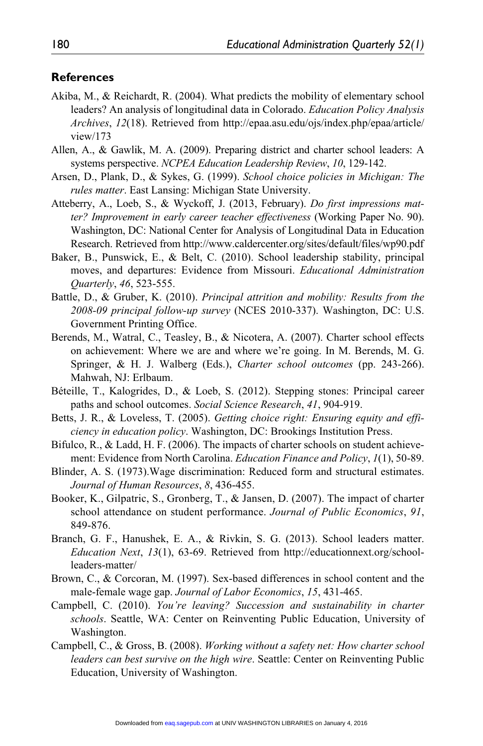#### **References**

- Akiba, M., & Reichardt, R. (2004). What predicts the mobility of elementary school leaders? An analysis of longitudinal data in Colorado. *Education Policy Analysis Archives*, *12*(18). Retrieved from [http://epaa.asu.edu/ojs/index.php/epaa/article/](http://epaa.asu.edu/ojs/index.php/epaa/article/view/173) [view/173](http://epaa.asu.edu/ojs/index.php/epaa/article/view/173)
- Allen, A., & Gawlik, M. A. (2009). Preparing district and charter school leaders: A systems perspective. *NCPEA Education Leadership Review*, *10*, 129-142.
- Arsen, D., Plank, D., & Sykes, G. (1999). *School choice policies in Michigan: The rules matter*. East Lansing: Michigan State University.
- Atteberry, A., Loeb, S., & Wyckoff, J. (2013, February). *Do first impressions matter? Improvement in early career teacher effectiveness* (Working Paper No. 90). Washington, DC: National Center for Analysis of Longitudinal Data in Education Research. Retrieved from<http://www.caldercenter.org/sites/default/files/wp90.pdf>
- Baker, B., Punswick, E., & Belt, C. (2010). School leadership stability, principal moves, and departures: Evidence from Missouri. *Educational Administration Quarterly*, *46*, 523-555.
- Battle, D., & Gruber, K. (2010). *Principal attrition and mobility: Results from the 2008-09 principal follow-up survey* (NCES 2010-337). Washington, DC: U.S. Government Printing Office.
- Berends, M., Watral, C., Teasley, B., & Nicotera, A. (2007). Charter school effects on achievement: Where we are and where we're going. In M. Berends, M. G. Springer, & H. J. Walberg (Eds.), *Charter school outcomes* (pp. 243-266). Mahwah, NJ: Erlbaum.
- Béteille, T., Kalogrides, D., & Loeb, S. (2012). Stepping stones: Principal career paths and school outcomes. *Social Science Research*, *41*, 904-919.
- Betts, J. R., & Loveless, T. (2005). *Getting choice right: Ensuring equity and efficiency in education policy*. Washington, DC: Brookings Institution Press.
- Bifulco, R., & Ladd, H. F. (2006). The impacts of charter schools on student achievement: Evidence from North Carolina. *Education Finance and Policy*, *1*(1), 50-89.
- Blinder, A. S. (1973).Wage discrimination: Reduced form and structural estimates. *Journal of Human Resources*, *8*, 436-455.
- Booker, K., Gilpatric, S., Gronberg, T., & Jansen, D. (2007). The impact of charter school attendance on student performance. *Journal of Public Economics*, *91*, 849-876.
- Branch, G. F., Hanushek, E. A., & Rivkin, S. G. (2013). School leaders matter. *Education Next*, *13*(1), 63-69. Retrieved from [http://educationnext.org/school](http://educationnext.org/school-leaders-matter/)[leaders-matter/](http://educationnext.org/school-leaders-matter/)
- Brown, C., & Corcoran, M. (1997). Sex-based differences in school content and the male-female wage gap. *Journal of Labor Economics*, *15*, 431-465.
- Campbell, C. (2010). *You're leaving? Succession and sustainability in charter schools*. Seattle, WA: Center on Reinventing Public Education, University of Washington.
- Campbell, C., & Gross, B. (2008). *Working without a safety net: How charter school leaders can best survive on the high wire*. Seattle: Center on Reinventing Public Education, University of Washington.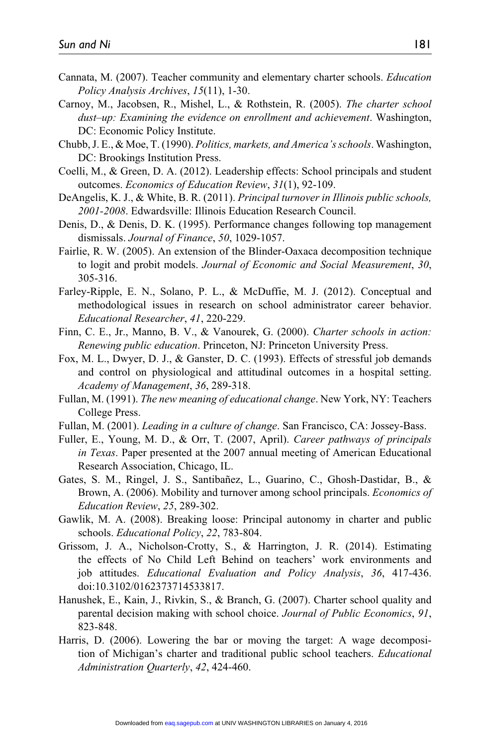- Cannata, M. (2007). Teacher community and elementary charter schools. *Education Policy Analysis Archives*, *15*(11), 1-30.
- Carnoy, M., Jacobsen, R., Mishel, L., & Rothstein, R. (2005). *The charter school dust–up: Examining the evidence on enrollment and achievement*. Washington, DC: Economic Policy Institute.
- Chubb, J. E., & Moe, T. (1990). *Politics, markets, and America's schools*. Washington, DC: Brookings Institution Press.
- Coelli, M., & Green, D. A. (2012). Leadership effects: School principals and student outcomes. *Economics of Education Review*, *31*(1), 92-109.
- DeAngelis, K. J., & White, B. R. (2011). *Principal turnover in Illinois public schools, 2001-2008*. Edwardsville: Illinois Education Research Council.
- Denis, D., & Denis, D. K. (1995). Performance changes following top management dismissals. *Journal of Finance*, *50*, 1029-1057.
- Fairlie, R. W. (2005). An extension of the Blinder-Oaxaca decomposition technique to logit and probit models. *Journal of Economic and Social Measurement*, *30*, 305-316.
- Farley-Ripple, E. N., Solano, P. L., & McDuffie, M. J. (2012). Conceptual and methodological issues in research on school administrator career behavior. *Educational Researcher*, *41*, 220-229.
- Finn, C. E., Jr., Manno, B. V., & Vanourek, G. (2000). *Charter schools in action: Renewing public education*. Princeton, NJ: Princeton University Press.
- Fox, M. L., Dwyer, D. J., & Ganster, D. C. (1993). Effects of stressful job demands and control on physiological and attitudinal outcomes in a hospital setting. *Academy of Management*, *36*, 289-318.
- Fullan, M. (1991). *The new meaning of educational change*. New York, NY: Teachers College Press.
- Fullan, M. (2001). *Leading in a culture of change*. San Francisco, CA: Jossey-Bass.
- Fuller, E., Young, M. D., & Orr, T. (2007, April). *Career pathways of principals in Texas*. Paper presented at the 2007 annual meeting of American Educational Research Association, Chicago, IL.
- Gates, S. M., Ringel, J. S., Santibañez, L., Guarino, C., Ghosh-Dastidar, B., & Brown, A. (2006). Mobility and turnover among school principals. *Economics of Education Review*, *25*, 289-302.
- Gawlik, M. A. (2008). Breaking loose: Principal autonomy in charter and public schools. *Educational Policy*, *22*, 783-804.
- Grissom, J. A., Nicholson-Crotty, S., & Harrington, J. R. (2014). Estimating the effects of No Child Left Behind on teachers' work environments and job attitudes. *Educational Evaluation and Policy Analysis*, *36*, 417-436. doi:10.3102/0162373714533817.
- Hanushek, E., Kain, J., Rivkin, S., & Branch, G. (2007). Charter school quality and parental decision making with school choice. *Journal of Public Economics*, *91*, 823-848.
- Harris, D. (2006). Lowering the bar or moving the target: A wage decomposition of Michigan's charter and traditional public school teachers. *Educational Administration Quarterly*, *42*, 424-460.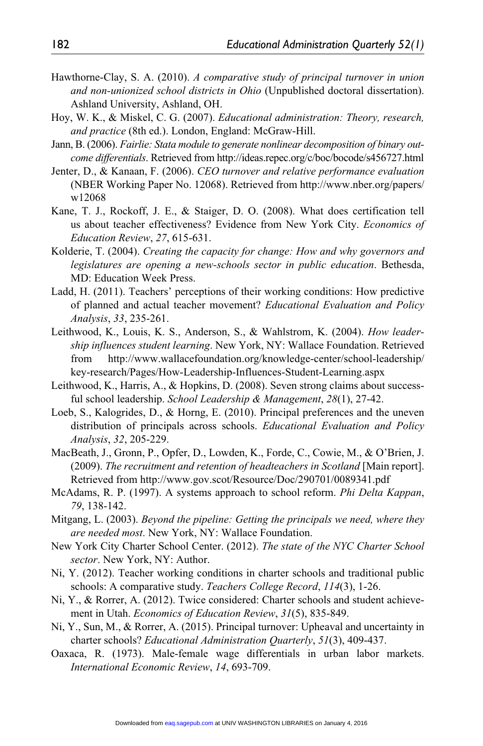- Hawthorne-Clay, S. A. (2010). *A comparative study of principal turnover in union and non-unionized school districts in Ohio* (Unpublished doctoral dissertation). Ashland University, Ashland, OH.
- Hoy, W. K., & Miskel, C. G. (2007). *Educational administration: Theory, research, and practice* (8th ed.). London, England: McGraw-Hill.
- Jann, B. (2006). *Fairlie: Stata module to generate nonlinear decomposition of binary outcome differentials*. Retrieved from<http://ideas.repec.org/c/boc/bocode/s456727.html>
- Jenter, D., & Kanaan, F. (2006). *CEO turnover and relative performance evaluation* (NBER Working Paper No. 12068). Retrieved from [http://www.nber.org/papers/](http://www.nber.org/papers/w12068) [w12068](http://www.nber.org/papers/w12068)
- Kane, T. J., Rockoff, J. E., & Staiger, D. O. (2008). What does certification tell us about teacher effectiveness? Evidence from New York City. *Economics of Education Review*, *27*, 615-631.
- Kolderie, T. (2004). *Creating the capacity for change: How and why governors and legislatures are opening a new-schools sector in public education*. Bethesda, MD: Education Week Press.
- Ladd, H. (2011). Teachers' perceptions of their working conditions: How predictive of planned and actual teacher movement? *Educational Evaluation and Policy Analysis*, *33*, 235-261.
- Leithwood, K., Louis, K. S., Anderson, S., & Wahlstrom, K. (2004). *How leadership influences student learning*. New York, NY: Wallace Foundation. Retrieved from [http://www.wallacefoundation.org/knowledge-center/school-leadership/](http://www.wallacefoundation.org/knowledge-center/school-leadership/key-research/Pages/How-Leadership-Influences-Student-Learning.aspx) [key-research/Pages/How-Leadership-Influences-Student-Learning.aspx](http://www.wallacefoundation.org/knowledge-center/school-leadership/key-research/Pages/How-Leadership-Influences-Student-Learning.aspx)
- Leithwood, K., Harris, A., & Hopkins, D. (2008). Seven strong claims about successful school leadership. *School Leadership & Management*, *28*(1), 27-42.
- Loeb, S., Kalogrides, D., & Horng, E. (2010). Principal preferences and the uneven distribution of principals across schools. *Educational Evaluation and Policy Analysis*, *32*, 205-229.
- MacBeath, J., Gronn, P., Opfer, D., Lowden, K., Forde, C., Cowie, M., & O'Brien, J. (2009). *The recruitment and retention of headteachers in Scotland* [Main report]. Retrieved from <http://www.gov.scot/Resource/Doc/290701/0089341.pdf>
- McAdams, R. P. (1997). A systems approach to school reform. *Phi Delta Kappan*, *79*, 138-142.
- Mitgang, L. (2003). *Beyond the pipeline: Getting the principals we need, where they are needed most*. New York, NY: Wallace Foundation.
- New York City Charter School Center. (2012). *The state of the NYC Charter School sector*. New York, NY: Author.
- Ni, Y. (2012). Teacher working conditions in charter schools and traditional public schools: A comparative study. *Teachers College Record*, *114*(3), 1-26.
- Ni, Y., & Rorrer, A. (2012). Twice considered: Charter schools and student achievement in Utah. *Economics of Education Review*, *31*(5), 835-849.
- Ni, Y., Sun, M., & Rorrer, A. (2015). Principal turnover: Upheaval and uncertainty in charter schools? *Educational Administration Quarterly*, *51*(3), 409-437.
- Oaxaca, R. (1973). Male-female wage differentials in urban labor markets. *International Economic Review*, *14*, 693-709.